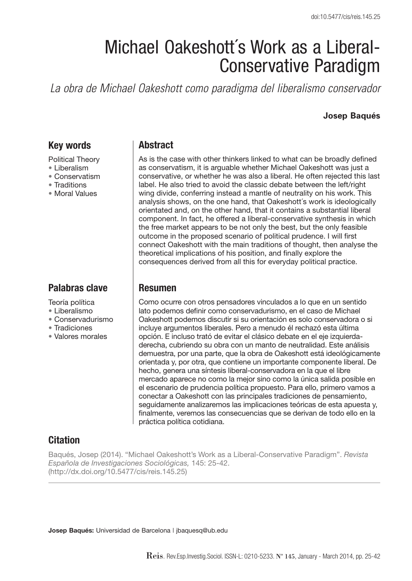# Michael Oakeshott´s Work as a Liberal-Conservative Paradigm

*La obra de Michael Oakeshott como paradigma del liberalismo conservador*

#### **Josep Baqués**

# **Key words**

Political Theory

- Liberalism
- Conservatism
- Traditions
- Moral Values

# **Palabras clave**

Teoría política

- Liberalismo
- Conservadurismo
- Tradiciones
- Valores morales

## **Abstract**

As is the case with other thinkers linked to what can be broadly defined as conservatism, it is arguable whether Michael Oakeshott was just a conservative, or whether he was also a liberal. He often rejected this last label. He also tried to avoid the classic debate between the left/right wing divide, conferring instead a mantle of neutrality on his work. This analysis shows, on the one hand, that Oakeshott´s work is ideologically orientated and, on the other hand, that it contains a substantial liberal component. In fact, he offered a liberal-conservative synthesis in which the free market appears to be not only the best, but the only feasible outcome in the proposed scenario of political prudence. I will first connect Oakeshott with the main traditions of thought, then analyse the theoretical implications of his position, and finally explore the consequences derived from all this for everyday political practice.

## **Resumen**

Como ocurre con otros pensadores vinculados a lo que en un sentido lato podemos definir como conservadurismo, en el caso de Michael Oakeshott podemos discutir si su orientación es solo conservadora o si incluye argumentos liberales. Pero a menudo él rechazó esta última opción. E incluso trató de evitar el clásico debate en el eje izquierdaderecha, cubriendo su obra con un manto de neutralidad. Este análisis demuestra, por una parte, que la obra de Oakeshott está ideológicamente orientada y, por otra, que contiene un importante componente liberal. De hecho, genera una síntesis liberal-conservadora en la que el libre mercado aparece no como la mejor sino como la única salida posible en el escenario de prudencia política propuesto. Para ello, primero vamos a conectar a Oakeshott con las principales tradiciones de pensamiento, seguidamente analizaremos las implicaciones teóricas de esta apuesta y, finalmente, veremos las consecuencias que se derivan de todo ello en la práctica política cotidiana.

# **Citation**

Baqués, Josep (2014). "Michael Oakeshott's Work as a Liberal-Conservative Paradigm". *Revista Española de Investigaciones Sociológicas,* 145: 25-42. (http://dx.doi.org/10.5477/cis/reis.145.25)

**Josep Baqués:** Universidad de Barcelona | jbaquesq@ub.edu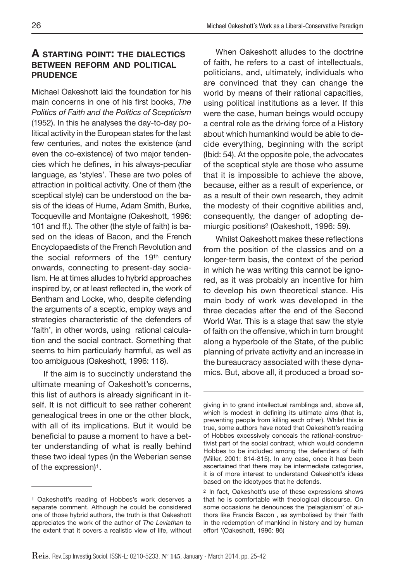#### **A starting point: the dialectics between reform and political prudence**

Michael Oakeshott laid the foundation for his main concerns in one of his first books, *The Politics of Faith and the Politics of Scepticism*  (1952). In this he analyses the day-to-day political activity in the European states for the last few centuries, and notes the existence (and even the co-existence) of two major tendencies which he defines, in his always-peculiar language, as 'styles'. These are two poles of attraction in political activity. One of them (the sceptical style) can be understood on the basis of the ideas of Hume, Adam Smith, Burke, Tocqueville and Montaigne (Oakeshott, 1996: 101 and ff.). The other (the style of faith) is based on the ideas of Bacon, and the French Encyclopaedists of the French Revolution and the social reformers of the 19th century onwards, connecting to present-day socialism. He at times alludes to hybrid approaches inspired by, or at least reflected in, the work of Bentham and Locke, who, despite defending the arguments of a sceptic, employ ways and strategies characteristic of the defenders of 'faith', in other words, using rational calculation and the social contract. Something that seems to him particularly harmful, as well as too ambiguous (Oakeshott, 1996: 118).

If the aim is to succinctly understand the ultimate meaning of Oakeshott's concerns, this list of authors is already significant in itself. It is not difficult to see rather coherent genealogical trees in one or the other block, with all of its implications. But it would be beneficial to pause a moment to have a better understanding of what is really behind these two ideal types (in the Weberian sense of the expression)1.

When Oakeshott alludes to the doctrine of faith, he refers to a cast of intellectuals, politicians, and, ultimately, individuals who are convinced that they can change the world by means of their rational capacities, using political institutions as a lever. If this were the case, human beings would occupy a central role as the driving force of a History about which humankind would be able to decide everything, beginning with the script (Ibid: 54). At the opposite pole, the advocates of the sceptical style are those who assume that it is impossible to achieve the above, because, either as a result of experience, or as a result of their own research, they admit the modesty of their cognitive abilities and, consequently, the danger of adopting demiurgic positions2 (Oakeshott, 1996: 59).

Whilst Oakeshott makes these reflections from the position of the classics and on a longer-term basis, the context of the period in which he was writing this cannot be ignored, as it was probably an incentive for him to develop his own theoretical stance. His main body of work was developed in the three decades after the end of the Second World War. This is a stage that saw the style of faith on the offensive, which in turn brought along a hyperbole of the State, of the public planning of private activity and an increase in the bureaucracy associated with these dynamics. But, above all, it produced a broad so-

<sup>1</sup> Oakeshott's reading of Hobbes's work deserves a separate comment. Although he could be considered one of those hybrid authors, the truth is that Oakeshott appreciates the work of the author of *The Leviathan* to the extent that it covers a realistic view of life, without

giving in to grand intellectual ramblings and, above all, which is modest in defining its ultimate aims (that is, preventing people from killing each other). Whilst this is true, some authors have noted that Oakeshott's reading of Hobbes excessively conceals the rational-constructivist part of the social contract, which would condemn Hobbes to be included among the defenders of faith (Miller, 2001: 814-815). In any case, once it has been ascertained that there may be intermediate categories, it is of more interest to understand Oakeshott's ideas based on the ideotypes that he defends.

<sup>2</sup> In fact, Oakeshott's use of these expressions shows that he is comfortable with theological discourse. On some occasions he denounces the 'pelagianism' of authors like Francis Bacon , as symbolised by their 'faith in the redemption of mankind in history and by human effort '(Oakeshott, 1996: 86)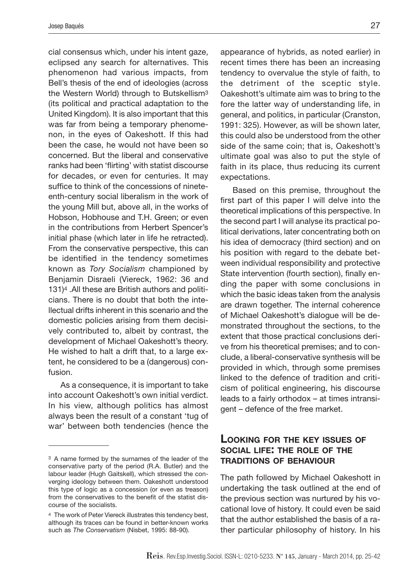cial consensus which, under his intent gaze, eclipsed any search for alternatives. This phenomenon had various impacts, from Bell's thesis of the end of ideologies (across the Western World) through to Butskellism<sup>3</sup> (its political and practical adaptation to the United Kingdom). It is also important that this was far from being a temporary phenomenon, in the eyes of Oakeshott. If this had been the case, he would not have been so concerned. But the liberal and conservative ranks had been 'flirting' with statist discourse for decades, or even for centuries. It may suffice to think of the concessions of nineteenth-century social liberalism in the work of the young Mill but, above all, in the works of Hobson, Hobhouse and T.H. Green; or even in the contributions from Herbert Spencer's initial phase (which later in life he retracted). From the conservative perspective, this can be identified in the tendency sometimes known as *Tory Socialism* championed by Benjamin Disraeli (Viereck, 1962: 36 and 131)4 .All these are British authors and politicians. There is no doubt that both the intellectual drifts inherent in this scenario and the domestic policies arising from them decisively contributed to, albeit by contrast, the development of Michael Oakeshott's theory. He wished to halt a drift that, to a large extent, he considered to be a (dangerous) confusion.

As a consequence, it is important to take into account Oakeshott's own initial verdict. In his view, although politics has almost always been the result of a constant 'tug of war' between both tendencies (hence the

appearance of hybrids, as noted earlier) in recent times there has been an increasing tendency to overvalue the style of faith, to the detriment of the sceptic style. Oakeshott's ultimate aim was to bring to the fore the latter way of understanding life, in general, and politics, in particular (Cranston, 1991: 325). However, as will be shown later, this could also be understood from the other side of the same coin; that is, Oakeshott's ultimate goal was also to put the style of faith in its place, thus reducing its current expectations.

Based on this premise, throughout the first part of this paper I will delve into the theoretical implications of this perspective. In the second part I will analyse its practical political derivations, later concentrating both on his idea of democracy (third section) and on his position with regard to the debate between individual responsibility and protective State intervention (fourth section), finally ending the paper with some conclusions in which the basic ideas taken from the analysis are drawn together. The internal coherence of Michael Oakeshott's dialogue will be demonstrated throughout the sections, to the extent that those practical conclusions derive from his theoretical premises; and to conclude, a liberal-conservative synthesis will be provided in which, through some premises linked to the defence of tradition and criticism of political engineering, his discourse leads to a fairly orthodox – at times intransigent – defence of the free market.

#### **Looking for the key issues of social life: the role of the traditions of behaviour**

The path followed by Michael Oakeshott in undertaking the task outlined at the end of the previous section was nurtured by his vocational love of history. It could even be said that the author established the basis of a rather particular philosophy of history. In his

<sup>3</sup> A name formed by the surnames of the leader of the conservative party of the period (R.A. Butler) and the labour leader (Hugh Gaitskell), which stressed the converging ideology between them. Oakeshott understood this type of logic as a concession (or even as treason) from the conservatives to the benefit of the statist discourse of the socialists.

<sup>4</sup> The work of Peter Viereck illustrates this tendency best, although its traces can be found in better-known works such as *The Conservatism* (Nisbet, 1995: 88-90).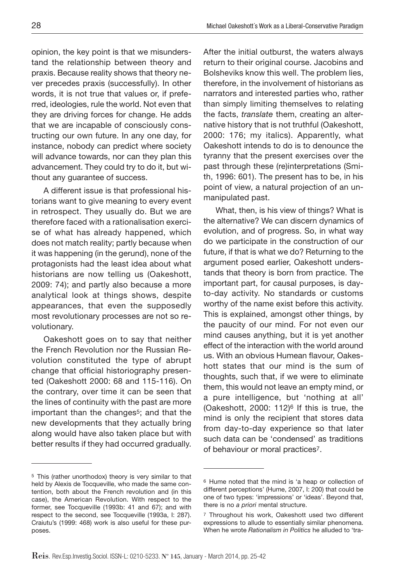opinion, the key point is that we misunderstand the relationship between theory and praxis. Because reality shows that theory never precedes praxis (successfully). In other words, it is not true that values or, if preferred, ideologies, rule the world. Not even that they are driving forces for change. He adds that we are incapable of consciously constructing our own future. In any one day, for instance, nobody can predict where society will advance towards, nor can they plan this advancement. They could try to do it, but without any guarantee of success.

A different issue is that professional historians want to give meaning to every event in retrospect. They usually do. But we are therefore faced with a rationalisation exercise of what has already happened, which does not match reality; partly because when it was happening (in the gerund), none of the protagonists had the least idea about what historians are now telling us (Oakeshott, 2009: 74); and partly also because a more analytical look at things shows, despite appearances, that even the supposedly most revolutionary processes are not so revolutionary.

Oakeshott goes on to say that neither the French Revolution nor the Russian Revolution constituted the type of abrupt change that official historiography presented (Oakeshott 2000: 68 and 115-116). On the contrary, over time it can be seen that the lines of continuity with the past are more important than the changes<sup>5</sup>; and that the new developments that they actually bring along would have also taken place but with better results if they had occurred gradually.

After the initial outburst, the waters always return to their original course. Jacobins and Bolsheviks know this well. The problem lies, therefore, in the involvement of historians as narrators and interested parties who, rather than simply limiting themselves to relating the facts, *translate* them, creating an alternative history that is not truthful (Oakeshott, 2000: 176; my italics). Apparently, what Oakeshott intends to do is to denounce the tyranny that the present exercises over the past through these (re)interpretations (Smith, 1996: 601). The present has to be, in his point of view, a natural projection of an unmanipulated past.

What, then, is his view of things? What is the alternative? We can discern dynamics of evolution, and of progress. So, in what way do we participate in the construction of our future, if that is what we do? Returning to the argument posed earlier, Oakeshott understands that theory is born from practice. The important part, for causal purposes, is dayto-day activity. No standards or customs worthy of the name exist before this activity. This is explained, amongst other things, by the paucity of our mind. For not even our mind causes anything, but it is yet another effect of the interaction with the world around us. With an obvious Humean flavour, Oakeshott states that our mind is the sum of thoughts, such that, if we were to eliminate them, this would not leave an empty mind, or a pure intelligence, but 'nothing at all' (Oakeshott, 2000: 112)6 If this is true, the mind is only the recipient that stores data from day-to-day experience so that later such data can be 'condensed' as traditions of behaviour or moral practices7.

<sup>5</sup> This (rather unorthodox) theory is very similar to that held by Alexis de Tocqueville, who made the same contention, both about the French revolution and (in this case), the American Revolution. With respect to the former, see Tocqueville (1993b: 41 and 67); and with respect to the second, see Tocqueville (1993a, I: 287). Craiutu's (1999: 468) work is also useful for these purposes.

<sup>6</sup> Hume noted that the mind is 'a heap or collection of different perceptions' (Hume, 2007, I: 200) that could be one of two types: 'impressions' or 'ideas'. Beyond that, there is no *a priori* mental structure.

<sup>7</sup> Throughout his work, Oakeshott used two different expressions to allude to essentially similar phenomena. When he wrote *Rationalism in Politics* he alluded to 'tra-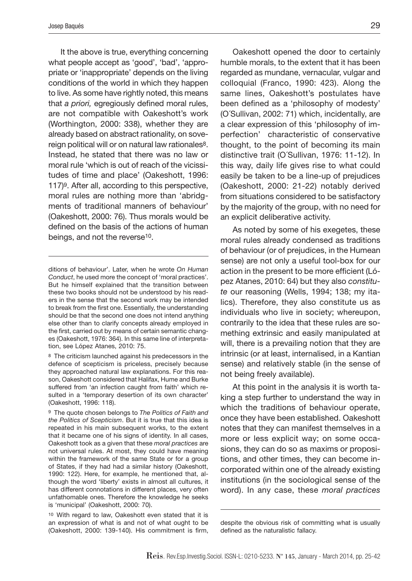It the above is true, everything concerning what people accept as 'good', 'bad', 'appropriate or 'inappropriate' depends on the living conditions of the world in which they happen to live. As some have rightly noted, this means that *a priori,* egregiously defined moral rules, are not compatible with Oakeshott's work (Worthington, 2000: 338), whether they are already based on abstract rationality, on sovereign political will or on natural law rationales<sup>8</sup>. Instead, he stated that there was no law or moral rule 'which is out of reach of the vicissitudes of time and place' (Oakeshott, 1996: 117)9. After all, according to this perspective, moral rules are nothing more than 'abridgments of traditional manners of behaviour' (Oakeshott, 2000: 76). Thus morals would be defined on the basis of the actions of human beings, and not the reverse<sup>10</sup>.

Oakeshott opened the door to certainly humble morals, to the extent that it has been regarded as mundane, vernacular, vulgar and colloquial (Franco, 1990: 423). Along the same lines, Oakeshott's postulates have been defined as a 'philosophy of modesty' (O´Sullivan, 2002: 71) which, incidentally, are a clear expression of this 'philosophy of imperfection' characteristic of conservative thought, to the point of becoming its main distinctive trait (O´Sullivan, 1976: 11-12). In this way, daily life gives rise to what could easily be taken to be a line-up of prejudices (Oakeshott, 2000: 21-22) notably derived from situations considered to be satisfactory by the majority of the group, with no need for an explicit deliberative activity.

As noted by some of his exegetes, these moral rules already condensed as traditions of behaviour (or of prejudices, in the Humean sense) are not only a useful tool-box for our action in the present to be more efficient (López Atanes, 2010: 64) but they also *constitute* our reasoning (Wells, 1994; 138; my italics). Therefore, they also constitute us as individuals who live in society; whereupon, contrarily to the idea that these rules are something extrinsic and easily manipulated at will, there is a prevailing notion that they are intrinsic (or at least, internalised, in a Kantian sense) and relatively stable (in the sense of not being freely available).

At this point in the analysis it is worth taking a step further to understand the way in which the traditions of behaviour operate, once they have been established. Oakeshott notes that they can manifest themselves in a more or less explicit way; on some occasions, they can do so as maxims or propositions, and other times, they can become incorporated within one of the already existing institutions (in the sociological sense of the word). In any case, these *moral practices*

ditions of behaviour'. Later, when he wrote *On Human Conduct*, he used more the concept of 'moral practices'. But he himself explained that the transition between these two books should not be understood by his readers in the sense that the second work may be intended to break from the first one. Essentially, the understanding should be that the second one does not intend anything else other than to clarify concepts already employed in the first, carried out by means of certain semantic changes (Oakeshott, 1976: 364). In this same line of interpretation, see López Atanes, 2010: 75.

<sup>8</sup> The criticism launched against his predecessors in the defence of scepticism is priceless, precisely because they approached natural law explanations. For this reason, Oakeshott considered that Halifax, Hume and Burke suffered from 'an infection caught from faith' which resulted in a 'temporary desertion of its own character' (Oakeshott, 1996: 118).

<sup>9</sup> The quote chosen belongs to *The Politics of Faith and the Politics of Scepticism*. But it is true that this idea is repeated in his main subsequent works, to the extent that it became one of his signs of identity. In all cases, Oakeshott took as a given that these *moral practices* are not universal rules. At most, they could have meaning within the framework of the same State or for a group of States, if they had had a similar history (Oakeshott, 1990: 122). Here, for example, he mentioned that, although the word 'liberty' exists in almost all cultures, it has different connotations in different places, very often unfathomable ones. Therefore the knowledge he seeks is 'municipal' (Oakeshott, 2000: 70).

<sup>10</sup> With regard to law, Oakeshott even stated that it is an expression of what is and not of what ought to be (Oakeshott, 2000: 139-140). His commitment is firm,

despite the obvious risk of committing what is usually defined as the naturalistic fallacy.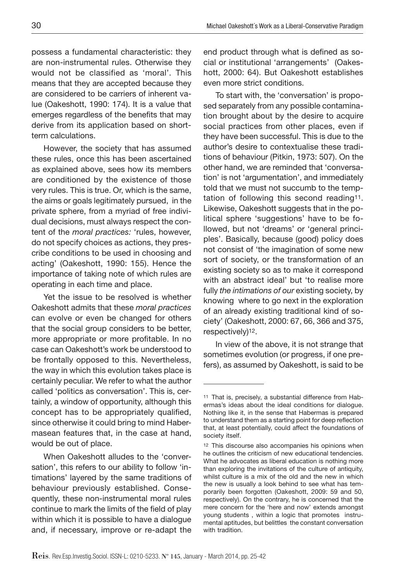possess a fundamental characteristic: they are non-instrumental rules. Otherwise they would not be classified as 'moral'. This means that they are accepted because they are considered to be carriers of inherent value (Oakeshott, 1990: 174). It is a value that emerges regardless of the benefits that may derive from its application based on shortterm calculations.

However, the society that has assumed these rules, once this has been ascertained as explained above, sees how its members are conditioned by the existence of those very rules. This is true. Or, which is the same, the aims or goals legitimately pursued, in the private sphere, from a myriad of free individual decisions, must always respect the content of the *moral practices:* 'rules, however, do not specify choices as actions, they prescribe conditions to be used in choosing and acting' (Oakeshott, 1990: 155). Hence the importance of taking note of which rules are operating in each time and place.

Yet the issue to be resolved is whether Oakeshott admits that these *moral practices* can evolve or even be changed for others that the social group considers to be better, more appropriate or more profitable. In no case can Oakeshott's work be understood to be frontally opposed to this. Nevertheless, the way in which this evolution takes place is certainly peculiar. We refer to what the author called 'politics as conversation'. This is, certainly, a window of opportunity, although this concept has to be appropriately qualified, since otherwise it could bring to mind Habermasean features that, in the case at hand, would be out of place.

When Oakeshott alludes to the 'conversation', this refers to our ability to follow 'intimations' layered by the same traditions of behaviour previously established. Consequently, these non-instrumental moral rules continue to mark the limits of the field of play within which it is possible to have a dialogue and, if necessary, improve or re-adapt the end product through what is defined as social or institutional 'arrangements' (Oakeshott, 2000: 64). But Oakeshott establishes even more strict conditions.

To start with, the 'conversation' is proposed separately from any possible contamination brought about by the desire to acquire social practices from other places, even if they have been successful. This is due to the author's desire to contextualise these traditions of behaviour (Pitkin, 1973: 507). On the other hand, we are reminded that 'conversation' is not 'argumentation', and immediately told that we must not succumb to the temptation of following this second reading11. Likewise, Oakeshott suggests that in the political sphere 'suggestions' have to be followed, but not 'dreams' or 'general principles'. Basically, because (good) policy does not consist of 'the imagination of some new sort of society, or the transformation of an existing society so as to make it correspond with an abstract ideal' but 'to realise more fully *the intimations of our* existing society, by knowing where to go next in the exploration of an already existing traditional kind of society' (Oakeshott, 2000: 67, 66, 366 and 375, respectively)12.

In view of the above, it is not strange that sometimes evolution (or progress, if one prefers), as assumed by Oakeshott, is said to be

<sup>11</sup> That is, precisely, a substantial difference from Habermas's ideas about the ideal conditions for dialogue. Nothing like it, in the sense that Habermas is prepared to understand them as a starting point for deep reflection that, at least potentially, could affect the foundations of society itself.

<sup>12</sup> This discourse also accompanies his opinions when he outlines the criticism of new educational tendencies. What he advocates as liberal education is nothing more than exploring the invitations of the culture of antiquity, whilst culture is a mix of the old and the new in which the new is usually a look behind to see what has temporarily been forgotten (Oakeshott, 2009: 59 and 50, respectively). On the contrary, he is concerned that the mere concern for the 'here and now' extends amongst young students , within a logic that promotes instrumental aptitudes, but belittles the constant conversation with tradition.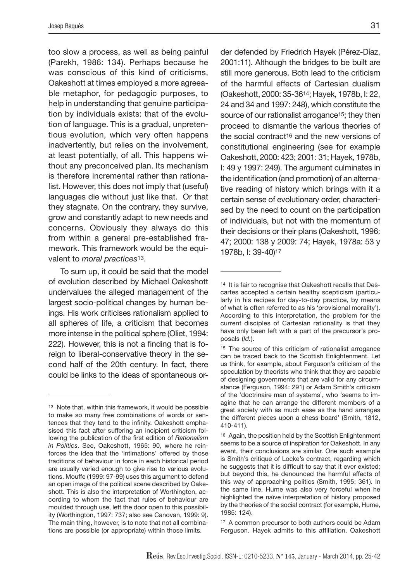too slow a process, as well as being painful (Parekh, 1986: 134). Perhaps because he was conscious of this kind of criticisms, Oakeshott at times employed a more agreeable metaphor, for pedagogic purposes, to help in understanding that genuine participation by individuals exists: that of the evolution of language. This is a gradual, unpretentious evolution, which very often happens inadvertently, but relies on the involvement, at least potentially, of all. This happens without any preconceived plan. Its mechanism is therefore incremental rather than rationalist. However, this does not imply that (useful) languages die without just like that. Or that they stagnate. On the contrary, they survive, grow and constantly adapt to new needs and concerns. Obviously they always do this from within a general pre-established framework. This framework would be the equivalent to *moral practices*13.

To sum up, it could be said that the model of evolution described by Michael Oakeshott undervalues the alleged management of the largest socio-political changes by human beings. His work criticises rationalism applied to all spheres of life, a criticism that becomes more intense in the political sphere (Oliet, 1994: 222). However, this is not a finding that is foreign to liberal-conservative theory in the second half of the 20th century. In fact, there could be links to the ideas of spontaneous order defended by Friedrich Hayek (Pérez-Díaz, 2001:11). Although the bridges to be built are still more generous. Both lead to the criticism of the harmful effects of Cartesian dualism (Oakeshott, 2000: 35-3614; Hayek, 1978b, I: 22, 24 and 34 and 1997: 248), which constitute the source of our rationalist arrogance<sup>15</sup>; they then proceed to dismantle the various theories of the social contract16 and the new versions of constitutional engineering (see for example Oakeshott, 2000: 423; 2001: 31; Hayek, 1978b, I: 49 y 1997: 249). The argument culminates in the identification (and promotion) of an alternative reading of history which brings with it a certain sense of evolutionary order, characterised by the need to count on the participation of individuals, but not with the momentum of their decisions or their plans (Oakeshott, 1996: 47; 2000: 138 y 2009: 74; Hayek, 1978a: 53 y 1978b, I: 39-40)17

<sup>13</sup> Note that, within this framework, it would be possible to make so many free combinations of words or sentences that they tend to the infinity. Oakeshott emphasised this fact after suffering an incipient criticism following the publication of the first edition of *Rationalism in Politics*. See, Oakeshott, 1965: 90, where he reinforces the idea that the 'intimations' offered by those traditions of behaviour in force in each historical period are usually varied enough to give rise to various evolutions. Mouffe (1999: 97-99) uses this argument to defend an open image of the political scene described by Oakeshott. This is also the interpretation of Worthington, according to whom the fact that rules of behaviour are moulded through use, left the door open to this possibility (Worthington, 1997: 737; also see Canovan, 1999: 9). The main thing, however, is to note that not all combinations are possible (or appropriate) within those limits.

<sup>14</sup> It is fair to recognise that Oakeshott recalls that Descartes accepted a certain healthy scepticism (particularly in his recipes for day-to-day practice, by means of what is often referred to as his 'provisional morality'). According to this interpretation, the problem for the current disciples of Cartesian rationality is that they have only been left with a part of the precursor's proposals (*Id.*).

<sup>15</sup> The source of this criticism of rationalist arrogance can be traced back to the Scottish Enlightenment. Let us think, for example, about Ferguson's criticism of the speculation by theorists who think that they are capable of designing governments that are valid for any circumstance (Ferguson, 1994: 291) or Adam Smith's criticism of the 'doctrinaire man of systems', who 'seems to imagine that he can arrange the different members of a great society with as much ease as the hand arranges the different pieces upon a chess board' (Smith, 1812, 410-411).

<sup>16</sup> Again, the position held by the Scottish Enlightenment seems to be a source of inspiration for Oakeshott. In any event, their conclusions are similar. One such example is Smith's critique of Locke's contract, regarding which he suggests that it is difficult to say that it ever existed; but beyond this, he denounced the harmful effects of this way of approaching politics (Smith, 1995: 361). In the same line, Hume was also very forceful when he highlighted the naïve interpretation of history proposed by the theories of the social contract (for example, Hume, 1985: 124).

<sup>17</sup> A common precursor to both authors could be Adam Ferguson. Hayek admits to this affiliation. Oakeshott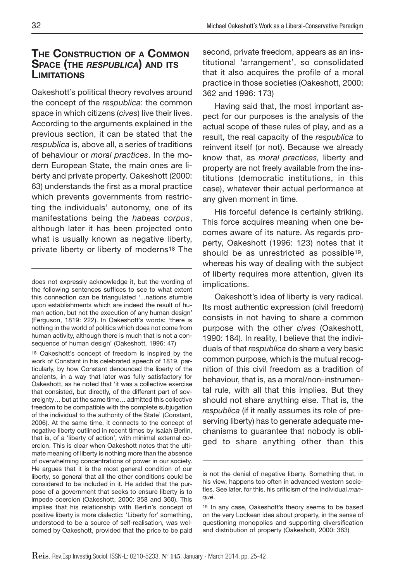# **The Construction of a Common Space (the** *respublica***) and its Limitations**

Oakeshott's political theory revolves around the concept of the *respublica*: the common space in which citizens (*cives*) live their lives. According to the arguments explained in the previous section, it can be stated that the *respublica* is, above all, a series of traditions of behaviour or *moral practices*. In the modern European State, the main ones are liberty and private property. Oakeshott (2000: 63) understands the first as a moral practice which prevents governments from restricting the individuals' autonomy, one of its manifestations being the *habeas corpus*, although later it has been projected onto what is usually known as negative liberty, private liberty or liberty of moderns18 The

<sup>18</sup> Oakeshott's concept of freedom is inspired by the work of Constant in his celebrated speech of 1819, particularly, by how Constant denounced the liberty of the ancients, in a way that later was fully satisfactory for Oakeshott, as he noted that 'it was a collective exercise that consisted, but directly, of the different part of sovereignty… but at the same time… admitted this collective freedom to be compatible with the complete subjugation of the individual to the authority of the State' (Constant, 2006). At the same time, it connects to the concept of negative liberty outlined in recent times by Isaiah Berlin, that is, of a 'liberty of action', with minimal external coercion. This is clear when Oakeshott notes that the ultimate meaning of liberty is nothing more than the absence of overwhelming concentrations of power in our society. He argues that it is the most general condition of our liberty, so general that all the other conditions could be considered to be included in it. He added that the purpose of a government that seeks to ensure liberty is to impede coercion (Oakeshott, 2000: 358 and 360). This implies that his relationship with Berlin's concept of positive liberty is more dialectic: 'Liberty for' something, understood to be a source of self-realisation, was welcomed by Oakeshott, provided that the price to be paid second, private freedom, appears as an institutional 'arrangement', so consolidated that it also acquires the profile of a moral practice in those societies (Oakeshott, 2000: 362 and 1996: 173)

Having said that, the most important aspect for our purposes is the analysis of the actual scope of these rules of play, and as a result, the real capacity of the *respublica* to reinvent itself (or not). Because we already know that, as *moral practices,* liberty and property are not freely available from the institutions (democratic institutions, in this case), whatever their actual performance at any given moment in time.

His forceful defence is certainly striking. This force acquires meaning when one becomes aware of its nature. As regards property, Oakeshott (1996: 123) notes that it should be as unrestricted as possible19, whereas his way of dealing with the subject of liberty requires more attention, given its implications.

Oakeshott's idea of liberty is very radical. Its most authentic expression (civil freedom) consists in not having to share a common purpose with the other *cives* (Oakeshott, 1990: 184). In reality, I believe that the individuals of that *respublica* do share a very basic common purpose, which is the mutual recognition of this civil freedom as a tradition of behaviour, that is, as a moral/non-instrumental rule, with all that this implies. But they should not share anything else. That is, the *respublica* (if it really assumes its role of preserving liberty) has to generate adequate mechanisms to guarantee that nobody is obliged to share anything other than this

does not expressly acknowledge it, but the wording of the following sentences suffices to see to what extent this connection can be triangulated '...nations stumble upon establishments which are indeed the result of human action, but not the execution of any human design' (Ferguson, 1819: 222). In Oakeshott's words: 'there is nothing in the world of politics which does not come from human activity, although there is much that is not a consequence of human design' (Oakeshott, 1996: 47)

is not the denial of negative liberty. Something that, in his view, happens too often in advanced western societies. See later, for this, his criticism of the individual *manqué*.

<sup>19</sup> In any case, Oakeshott's theory seems to be based on the very Lockean idea about property, in the sense of questioning monopolies and supporting diversification and distribution of property (Oakeshott, 2000: 363)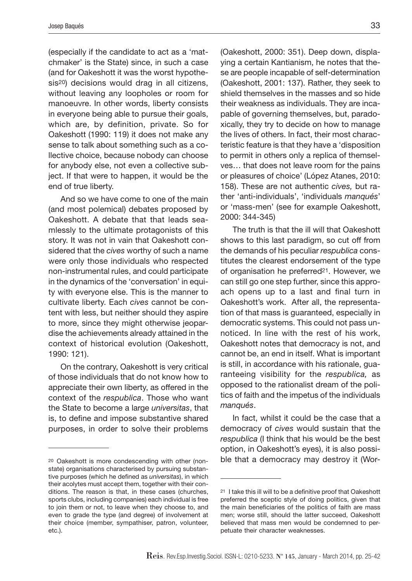(especially if the candidate to act as a 'matchmaker' is the State) since, in such a case (and for Oakeshott it was the worst hypothesis20) decisions would drag in all citizens, without leaving any loopholes or room for manoeuvre. In other words, liberty consists in everyone being able to pursue their goals, which are, by definition, private. So for Oakeshott (1990: 119) it does not make any sense to talk about something such as a collective choice, because nobody can choose for anybody else, not even a collective subject. If that were to happen, it would be the end of true liberty.

And so we have come to one of the main (and most polemical) debates proposed by Oakeshott. A debate that that leads seamlessly to the ultimate protagonists of this story. It was not in vain that Oakeshott considered that the *cives* worthy of such a name were only those individuals who respected non-instrumental rules, and could participate in the dynamics of the 'conversation' in equity with everyone else. This is the manner to cultivate liberty. Each *cives* cannot be content with less, but neither should they aspire to more, since they might otherwise jeopardise the achievements already attained in the context of historical evolution (Oakeshott, 1990: 121).

On the contrary, Oakeshott is very critical of those individuals that do not know how to appreciate their own liberty, as offered in the context of the *respublica*. Those who want the State to become a large *universitas*, that is, to define and impose substantive shared purposes, in order to solve their problems

(Oakeshott, 2000: 351). Deep down, displaying a certain Kantianism, he notes that these are people incapable of self-determination (Oakeshott, 2001: 137). Rather, they seek to shield themselves in the masses and so hide their weakness as individuals. They are incapable of governing themselves, but, paradoxically, they try to decide on how to manage the lives of others. In fact, their most characteristic feature is that they have a 'disposition to permit in others only a replica of themselves… that does not leave room for the pains or pleasures of choice' (López Atanes, 2010: 158). These are not authentic *cives,* but rather 'anti-individuals', 'individuals *manqués*' or 'mass-men' (see for example Oakeshott, 2000: 344-345)

The truth is that the ill will that Oakeshott shows to this last paradigm, so cut off from the demands of his peculiar *respublica* constitutes the clearest endorsement of the type of organisation he preferred21. However, we can still go one step further, since this approach opens up to a last and final turn in Oakeshott's work. After all, the representation of that mass is guaranteed, especially in democratic systems. This could not pass unnoticed. In line with the rest of his work, Oakeshott notes that democracy is not, and cannot be, an end in itself. What is important is still, in accordance with his rationale, guaranteeing visibility for the *respublica,* as opposed to the rationalist dream of the politics of faith and the impetus of the individuals *manqués*.

In fact, whilst it could be the case that a democracy of *cives* would sustain that the *respublica* (I think that his would be the best option, in Oakeshott's eyes), it is also possible that a democracy may destroy it (Wor-

<sup>20</sup> Oakeshott is more condescending with other (nonstate) organisations characterised by pursuing substantive purposes (which he defined as *universitas*), in which their acolytes must accept them, together with their conditions. The reason is that, in these cases (churches, sports clubs, including companies) each individual is free to join them or not, to leave when they choose to, and even to grade the type (and degree) of involvement at their choice (member, sympathiser, patron, volunteer, etc.).

<sup>21</sup> I take this ill will to be a definitive proof that Oakeshott preferred the sceptic style of doing politics, given that the main beneficiaries of the politics of faith are mass men; worse still, should the latter succeed, Oakeshott believed that mass men would be condemned to perpetuate their character weaknesses.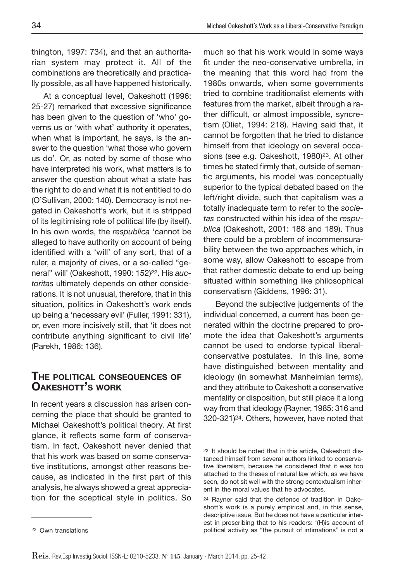thington, 1997: 734), and that an authoritarian system may protect it. All of the combinations are theoretically and practically possible, as all have happened historically.

At a conceptual level, Oakeshott (1996: 25-27) remarked that excessive significance has been given to the question of 'who' governs us or 'with what' authority it operates, when what is important, he says, is the answer to the question 'what those who govern us do'. Or, as noted by some of those who have interpreted his work, what matters is to answer the question about what a state has the right to do and what it is not entitled to do (O'Sullivan, 2000: 140). Democracy is not negated in Oakeshott's work, but it is stripped of its legitimising role of political life (by itself). In his own words, the *respublica* 'cannot be alleged to have authority on account of being identified with a 'will' of any sort, that of a ruler, a majority of cives, or a so-called "general" will' (Oakeshott, 1990: 152)22. His *auctoritas* ultimately depends on other considerations. It is not unusual, therefore, that in this situation, politics in Oakeshott's work ends up being a 'necessary evil' (Fuller, 1991: 331), or, even more incisively still, that 'it does not contribute anything significant to civil life' (Parekh, 1986: 136).

## **The political consequences of Oakeshott's work**

In recent years a discussion has arisen concerning the place that should be granted to Michael Oakeshott's political theory. At first glance, it reflects some form of conservatism. In fact, Oakeshott never denied that that his work was based on some conservative institutions, amongst other reasons because, as indicated in the first part of this analysis, he always showed a great appreciation for the sceptical style in politics. So much so that his work would in some ways fit under the neo-conservative umbrella, in the meaning that this word had from the 1980s onwards, when some governments tried to combine traditionalist elements with features from the market, albeit through a rather difficult, or almost impossible, syncretism (Oliet, 1994: 218). Having said that, it cannot be forgotten that he tried to distance himself from that ideology on several occasions (see e.g. Oakeshott, 1980)23. At other times he stated firmly that, outside of semantic arguments, his model was conceptually superior to the typical debated based on the left/right divide, such that capitalism was a totally inadequate term to refer to the *societas* constructed within his idea of the *respublica* (Oakeshott, 2001: 188 and 189). Thus there could be a problem of incommensurability between the two approaches which, in some way, allow Oakeshott to escape from that rather domestic debate to end up being situated within something like philosophical conservatism (Giddens, 1996: 31).

Beyond the subjective judgements of the individual concerned, a current has been generated within the doctrine prepared to promote the idea that Oakeshott's arguments cannot be used to endorse typical liberalconservative postulates. In this line, some have distinguished between mentality and ideology (in somewhat Manheimian terms), and they attribute to Oakeshott a conservative mentality or disposition, but still place it a long way from that ideology (Rayner, 1985: 316 and 320-321)24. Others, however, have noted that

<sup>23</sup> It should be noted that in this article, Oakeshott distanced himself from several authors linked to conservative liberalism, because he considered that it was too attached to the theses of natural law which, as we have seen, do not sit well with the strong contextualism inherent in the moral values that he advocates.

<sup>24</sup> Rayner said that the defence of tradition in Oakeshott's work is a purely empirical and, in this sense, descriptive issue. But he does not have a particular interest in prescribing that to his readers: '(H)is account of political activity as "the pursuit of intimations" is not a

<sup>22</sup> Own translations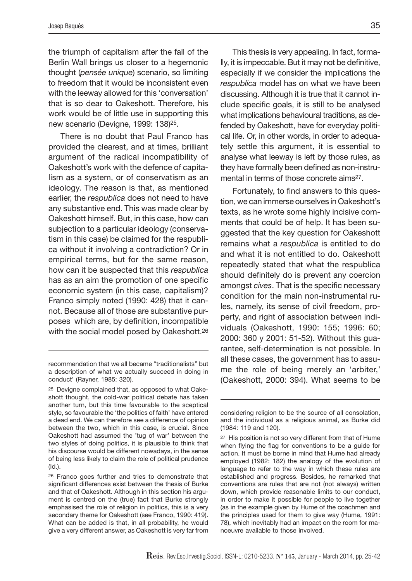the triumph of capitalism after the fall of the Berlin Wall brings us closer to a hegemonic thought (*pensée unique*) scenario, so limiting to freedom that it would be inconsistent even with the leeway allowed for this 'conversation' that is so dear to Oakeshott. Therefore, his work would be of little use in supporting this new scenario (Devigne, 1999: 138)25.

There is no doubt that Paul Franco has provided the clearest, and at times, brilliant argument of the radical incompatibility of Oakeshott's work with the defence of capitalism as a system, or of conservatism as an ideology. The reason is that, as mentioned earlier, the *respublica* does not need to have any substantive end. This was made clear by Oakeshott himself. But, in this case, how can subjection to a particular ideology (conservatism in this case) be claimed for the respublica without it involving a contradiction? Or in empirical terms, but for the same reason, how can it be suspected that this *respublica* has as an aim the promotion of one specific economic system (in this case, capitalism)? Franco simply noted (1990: 428) that it cannot. Because all of those are substantive purposes which are, by definition, incompatible with the social model posed by Oakeshott.<sup>26</sup>

This thesis is very appealing. In fact, formally, it is impeccable. But it may not be definitive, especially if we consider the implications the *respublica* model has on what we have been discussing. Although it is true that it cannot include specific goals, it is still to be analysed what implications behavioural traditions, as defended by Oakeshott, have for everyday political life. Or, in other words, in order to adequately settle this argument, it is essential to analyse what leeway is left by those rules, as they have formally been defined as non-instrumental in terms of those concrete aims27.

Fortunately, to find answers to this question, we can immerse ourselves in Oakeshott's texts, as he wrote some highly incisive comments that could be of help. It has been suggested that the key question for Oakeshott remains what a *respublica* is entitled to do and what it is not entitled to do. Oakeshott repeatedly stated that what the respublica should definitely do is prevent any coercion amongst *cives*. That is the specific necessary condition for the main non-instrumental rules, namely, its sense of civil freedom, property, and right of association between individuals (Oakeshott, 1990: 155; 1996: 60; 2000: 360 y 2001: 51-52). Without this guarantee, self-determination is not possible. In all these cases, the government has to assume the role of being merely an 'arbiter,' (Oakeshott, 2000: 394). What seems to be

recommendation that we all became "traditionalists" but a description of what we actually succeed in doing in conduct' (Rayner, 1985: 320).

<sup>25</sup> Devigne complained that, as opposed to what Oakeshott thought, the cold-war political debate has taken another turn, but this time favourable to the sceptical style, so favourable the 'the politics of faith' have entered a dead end. We can therefore see a difference of opinion between the two, which in this case, is crucial. Since Oakeshott had assumed the 'tug of war' between the two styles of doing politics, it is plausible to think that his discourse would be different nowadays, in the sense of being less likely to claim the role of political prudence (Id.).

<sup>26</sup> Franco goes further and tries to demonstrate that significant differences exist between the thesis of Burke and that of Oakeshott. Although in this section his argument is centred on the (true) fact that Burke strongly emphasised the role of religion in politics, this is a very secondary theme for Oakeshott (see Franco, 1990: 419). What can be added is that, in all probability, he would give a very different answer, as Oakeshott is very far from

considering religion to be the source of all consolation, and the individual as a religious animal, as Burke did (1984: 119 and 120).

<sup>27</sup> His position is not so very different from that of Hume when flying the flag for conventions to be a guide for action. It must be borne in mind that Hume had already employed (1982: 182) the analogy of the evolution of language to refer to the way in which these rules are established and progress. Besides, he remarked that conventions are rules that are not (not always) written down, which provide reasonable limits to our conduct, in order to make it possible for people to live together (as in the example given by Hume of the coachmen and the principles used for them to give way (Hume, 1991: 78), which inevitably had an impact on the room for manoeuvre available to those involved.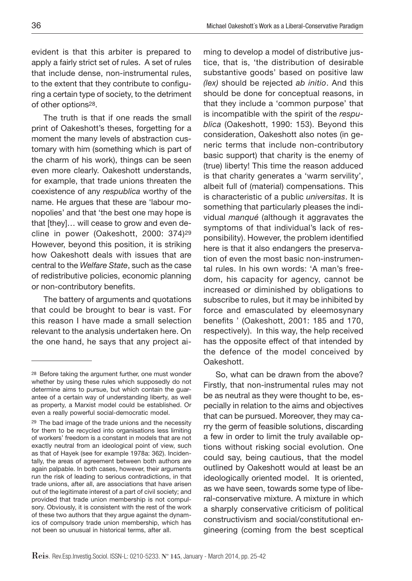evident is that this arbiter is prepared to apply a fairly strict set of rules. A set of rules that include dense, non-instrumental rules, to the extent that they contribute to configuring a certain type of society, to the detriment of other options28.

The truth is that if one reads the small print of Oakeshott's theses, forgetting for a moment the many levels of abstraction customary with him (something which is part of the charm of his work), things can be seen even more clearly. Oakeshott understands, for example, that trade unions threaten the coexistence of any *respublica* worthy of the name. He argues that these are 'labour monopolies' and that 'the best one may hope is that [they]… will cease to grow and even decline in power (Oakeshott, 2000: 374)29 However, beyond this position, it is striking how Oakeshott deals with issues that are central to the *Welfare State*, such as the case of redistributive policies, economic planning or non-contributory benefits.

The battery of arguments and quotations that could be brought to bear is vast. For this reason I have made a small selection relevant to the analysis undertaken here. On the one hand, he says that any project aiming to develop a model of distributive justice, that is, 'the distribution of desirable substantive goods' based on positive law *(lex)* should be rejected *ab initio*. And this should be done for conceptual reasons, in that they include a 'common purpose' that is incompatible with the spirit of the *respublica* (Oakeshott, 1990: 153). Beyond this consideration, Oakeshott also notes (in generic terms that include non-contributory basic support) that charity is the enemy of (true) liberty! This time the reason adduced is that charity generates a 'warm servility', albeit full of (material) compensations. This is characteristic of a public *universitas*. It is something that particularly pleases the individual *manqué* (although it aggravates the symptoms of that individual's lack of responsibility). However, the problem identified here is that it also endangers the preservation of even the most basic non-instrumental rules. In his own words: 'A man's freedom, his capacity for agency, cannot be increased or diminished by obligations to subscribe to rules, but it may be inhibited by force and emasculated by eleemosynary benefits ' (Oakeshott, 2001: 185 and 170, respectively). In this way, the help received has the opposite effect of that intended by the defence of the model conceived by Oakeshott.

So, what can be drawn from the above? Firstly, that non-instrumental rules may not be as neutral as they were thought to be, especially in relation to the aims and objectives that can be pursued. Moreover, they may carry the germ of feasible solutions, discarding a few in order to limit the truly available options without risking social evolution. One could say, being cautious, that the model outlined by Oakeshott would at least be an ideologically oriented model. It is oriented, as we have seen, towards some type of liberal-conservative mixture. A mixture in which a sharply conservative criticism of political constructivism and social/constitutional engineering (coming from the best sceptical

<sup>28</sup> Before taking the argument further, one must wonder whether by using these rules which supposedly do not determine aims to pursue, but which contain the guarantee of a certain way of understanding liberty, as well as property, a Marxist model could be established. Or even a really powerful social-democratic model.

<sup>29</sup> The bad image of the trade unions and the necessity for them to be recycled into organisations less limiting of workers' freedom is a constant in models that are not exactly neutral from an ideological point of view, such as that of Hayek (see for example 1978a: 362). Incidentally, the areas of agreement between both authors are again palpable. In both cases, however, their arguments run the risk of leading to serious contradictions, in that trade unions, after all, are associations that have arisen out of the legitimate interest of a part of civil society; and provided that trade union membership is not compulsory. Obviously, it is consistent with the rest of the work of these two authors that they argue against the dynamics of compulsory trade union membership, which has not been so unusual in historical terms, after all.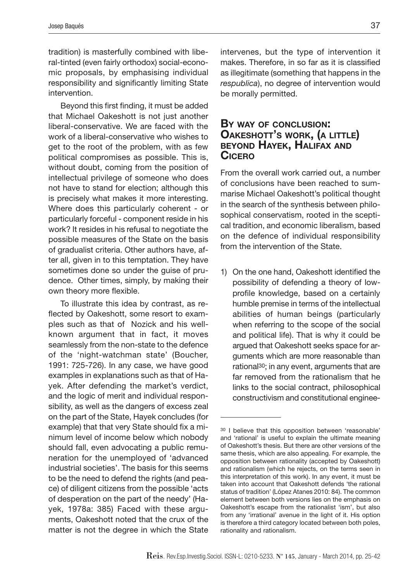tradition) is masterfully combined with liberal-tinted (even fairly orthodox) social-economic proposals, by emphasising individual responsibility and significantly limiting State intervention.

Beyond this first finding, it must be added that Michael Oakeshott is not just another liberal-conservative. We are faced with the work of a liberal-conservative who wishes to get to the root of the problem, with as few political compromises as possible. This is, without doubt, coming from the position of intellectual privilege of someone who does not have to stand for election; although this is precisely what makes it more interesting. Where does this particularly coherent - or particularly forceful - component reside in his work? It resides in his refusal to negotiate the possible measures of the State on the basis of gradualist criteria. Other authors have, after all, given in to this temptation. They have sometimes done so under the guise of prudence. Other times, simply, by making their own theory more flexible.

To illustrate this idea by contrast, as reflected by Oakeshott, some resort to examples such as that of Nozick and his wellknown argument that in fact, it moves seamlessly from the non-state to the defence of the 'night-watchman state' (Boucher, 1991: 725-726). In any case, we have good examples in explanations such as that of Hayek. After defending the market's verdict, and the logic of merit and individual responsibility, as well as the dangers of excess zeal on the part of the State, Hayek concludes (for example) that that very State should fix a minimum level of income below which nobody should fall, even advocating a public remuneration for the unemployed of 'advanced industrial societies'. The basis for this seems to be the need to defend the rights (and peace) of diligent citizens from the possible 'acts of desperation on the part of the needy' (Hayek, 1978a: 385) Faced with these arguments, Oakeshott noted that the crux of the matter is not the degree in which the State

intervenes, but the type of intervention it makes. Therefore, in so far as it is classified as illegitimate (something that happens in the *respublica*), no degree of intervention would be morally permitted.

### **By way of conclusion: Oakeshott's work, (a little) beyond Hayek, Halifax and Cicero**

From the overall work carried out, a number of conclusions have been reached to summarise Michael Oakeshott's political thought in the search of the synthesis between philosophical conservatism, rooted in the sceptical tradition, and economic liberalism, based on the defence of individual responsibility from the intervention of the State.

1) On the one hand, Oakeshott identified the possibility of defending a theory of lowprofile knowledge, based on a certainly humble premise in terms of the intellectual abilities of human beings (particularly when referring to the scope of the social and political life). That is why it could be argued that Oakeshott seeks space for arguments which are more reasonable than rational30; in any event, arguments that are far removed from the rationalism that he links to the social contract, philosophical constructivism and constitutional enginee-

<sup>30</sup> I believe that this opposition between 'reasonable' and 'rational' is useful to explain the ultimate meaning of Oakeshott's thesis. But there are other versions of the same thesis, which are also appealing. For example, the opposition between rationality (accepted by Oakeshott) and rationalism (which he rejects, on the terms seen in this interpretation of this work). In any event, it must be taken into account that Oakeshott defends 'the rational status of tradition' (López Atanes 2010: 84). The common element between both versions lies on the emphasis on Oakeshott's escape from the rationalist 'ism', but also from any 'irrational' avenue in the light of it. His option is therefore a third category located between both poles, rationality and rationalism.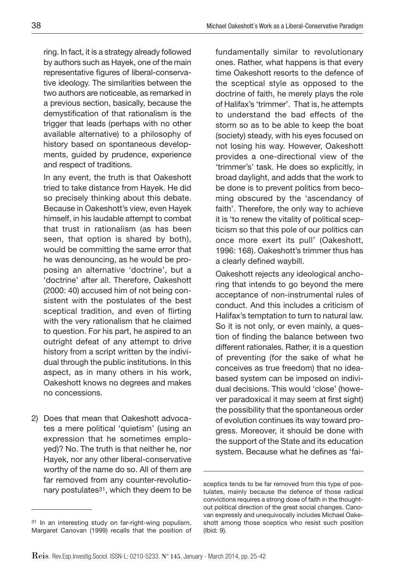ring. In fact, it is a strategy already followed by authors such as Hayek, one of the main representative figures of liberal-conservative ideology. The similarities between the two authors are noticeable, as remarked in a previous section, basically, because the demystification of that rationalism is the trigger that leads (perhaps with no other available alternative) to a philosophy of history based on spontaneous developments, guided by prudence, experience and respect of traditions.

In any event, the truth is that Oakeshott tried to take distance from Hayek. He did so precisely thinking about this debate. Because in Oakeshott's view, even Hayek himself, in his laudable attempt to combat that trust in rationalism (as has been seen, that option is shared by both), would be committing the same error that he was denouncing, as he would be proposing an alternative 'doctrine', but a 'doctrine' after all. Therefore, Oakeshott (2000: 40) accused him of not being consistent with the postulates of the best sceptical tradition, and even of flirting with the very rationalism that he claimed to question. For his part, he aspired to an outright defeat of any attempt to drive history from a script written by the individual through the public institutions. In this aspect, as in many others in his work, Oakeshott knows no degrees and makes no concessions.

2) Does that mean that Oakeshott advocates a mere political 'quietism' (using an expression that he sometimes employed)? No. The truth is that neither he, nor Hayek, nor any other liberal-conservative worthy of the name do so. All of them are far removed from any counter-revolutionary postulates31, which they deem to be

fundamentally similar to revolutionary ones. Rather, what happens is that every time Oakeshott resorts to the defence of the sceptical style as opposed to the doctrine of faith, he merely plays the role of Halifax's 'trimmer'. That is, he attempts to understand the bad effects of the storm so as to be able to keep the boat (society) steady, with his eyes focused on not losing his way. However, Oakeshott provides a one-directional view of the 'trimmer's' task. He does so explicitly, in broad daylight, and adds that the work to be done is to prevent politics from becoming obscured by the 'ascendancy of faith'. Therefore, the only way to achieve it is 'to renew the vitality of political scepticism so that this pole of our politics can once more exert its pull' (Oakeshott, 1996: 168). Oakeshott's trimmer thus has a clearly defined waybill.

Oakeshott rejects any ideological anchoring that intends to go beyond the mere acceptance of non-instrumental rules of conduct. And this includes a criticism of Halifax's temptation to turn to natural law. So it is not only, or even mainly, a question of finding the balance between two different rationales. Rather, it is a question of preventing (for the sake of what he conceives as true freedom) that no ideabased system can be imposed on individual decisions. This would 'close' (however paradoxical it may seem at first sight) the possibility that the spontaneous order of evolution continues its way toward progress. Moreover, it should be done with the support of the State and its education system. Because what he defines as 'fai-

<sup>31</sup> In an interesting study on far-right-wing populism, Margaret Canovan (1999) recalls that the position of

sceptics tends to be far removed from this type of postulates, mainly because the defence of those radical convictions requires a strong dose of faith in the thoughtout political direction of the great social changes. Canovan expressly and unequivocally includes Michael Oakeshott among those sceptics who resist such position (Ibid: 9).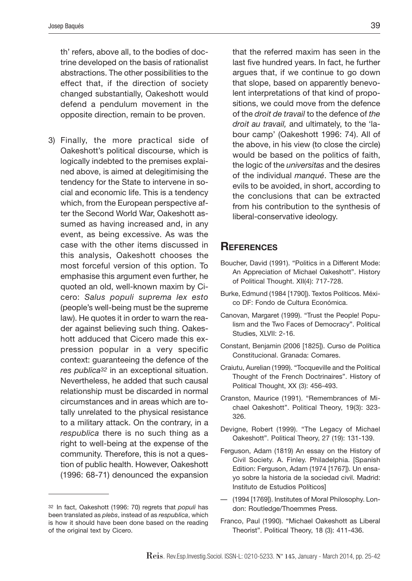th' refers, above all, to the bodies of doctrine developed on the basis of rationalist abstractions. The other possibilities to the effect that, if the direction of society changed substantially, Oakeshott would defend a pendulum movement in the opposite direction, remain to be proven.

3) Finally, the more practical side of Oakeshott's political discourse, which is logically indebted to the premises explained above, is aimed at delegitimising the tendency for the State to intervene in social and economic life. This is a tendency which, from the European perspective after the Second World War, Oakeshott assumed as having increased and, in any event, as being excessive. As was the case with the other items discussed in this analysis, Oakeshott chooses the most forceful version of this option. To emphasise this argument even further, he quoted an old, well-known maxim by Cicero: *Salus populi suprema lex esto* (people's well-being must be the supreme law). He quotes it in order to warn the reader against believing such thing. Oakeshott adduced that Cicero made this expression popular in a very specific context: guaranteeing the defence of the *res publica32* in an exceptional situation. Nevertheless, he added that such causal relationship must be discarded in normal circumstances and in areas which are totally unrelated to the physical resistance to a military attack. On the contrary, in a *respublica* there is no such thing as a right to well-being at the expense of the community. Therefore, this is not a question of public health. However, Oakeshott (1996: 68-71) denounced the expansion

that the referred maxim has seen in the last five hundred years. In fact, he further argues that, if we continue to go down that slope, based on apparently benevolent interpretations of that kind of propositions, we could move from the defence of the *droit de travail* to the defence of *the droit au travail,* and ultimately, to the 'labour camp' (Oakeshott 1996: 74). All of the above, in his view (to close the circle) would be based on the politics of faith, the logic of the *universitas* and the desires of the individual *manqué*. These are the evils to be avoided, in short, according to the conclusions that can be extracted from his contribution to the synthesis of liberal-conservative ideology.

#### **References**

- Boucher, David (1991). "Politics in a Different Mode: An Appreciation of Michael Oakeshott". History of Political Thought. XII(4): 717-728.
- Burke, Edmund (1984 [1790]). Textos Políticos. México DF: Fondo de Cultura Económica.
- Canovan, Margaret (1999). "Trust the People! Populism and the Two Faces of Democracy". Political Studies, XLVII: 2-16.
- Constant, Benjamin (2006 [1825]). Curso de Política Constitucional. Granada: Comares.
- Craiutu, Aurelian (1999). "Tocqueville and the Political Thought of the French Doctrinaires". History of Political Thought, XX (3): 456-493.
- Cranston, Maurice (1991). "Remembrances of Michael Oakeshott". Political Theory, 19(3): 323- 326.
- Devigne, Robert (1999). "The Legacy of Michael Oakeshott". Political Theory, 27 (19): 131-139.
- Ferguson, Adam (1819) An essay on the History of Civil Society. A. Finley. Philadelphia. [Spanish Edition: Ferguson, Adam (1974 [1767]). Un ensayo sobre la historia de la sociedad civil. Madrid: Instituto de Estudios Políticos]
- (1994 [1769]). Institutes of Moral Philosophy. London: Routledge/Thoemmes Press.
- Franco, Paul (1990). "Michael Oakeshott as Liberal Theorist". Political Theory, 18 (3): 411-436.

<sup>32</sup> In fact, Oakeshott (1996: 70) regrets that *populi* has been translated as *plebs*, instead of as *respublica*, which is how it should have been done based on the reading of the original text by Cicero.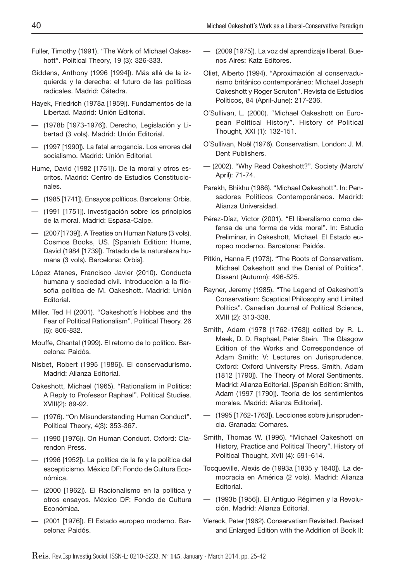- Fuller, Timothy (1991). "The Work of Michael Oakeshott". Political Theory, 19 (3): 326-333.
- Giddens, Anthony (1996 [1994]). Más allá de la izquierda y la derecha: el futuro de las políticas radicales. Madrid: Cátedra.
- Hayek, Friedrich (1978a [1959]). Fundamentos de la Libertad. Madrid: Unión Editorial.
- (1978b [1973-1976]). Derecho, Legislación y Libertad (3 vols). Madrid: Unión Editorial.
- (1997 [1990]). La fatal arrogancia. Los errores del socialismo. Madrid: Unión Editorial.
- Hume, David (1982 [1751]). De la moral y otros escritos. Madrid: Centro de Estudios Constitucionales.
- (1985 [1741]). Ensayos políticos. Barcelona: Orbis.
- (1991 [1751]). Investigación sobre los principios de la moral. Madrid: Espasa-Calpe.
- (2007[1739]). A Treatise on Human Nature (3 vols). Cosmos Books, US. [Spanish Edition: Hume, David (1984 [1739]). Tratado de la naturaleza humana (3 vols). Barcelona: Orbis].
- López Atanes, Francisco Javier (2010). Conducta humana y sociedad civil. Introducción a la filosofía política de M. Oakeshott. Madrid: Unión Editorial.
- Miller. Ted H (2001). "Oakeshott´s Hobbes and the Fear of Political Rationalism". Political Theory. 26 (6): 806-832.
- Mouffe, Chantal (1999). El retorno de lo político. Barcelona: Paidós.
- Nisbet, Robert (1995 [1986]). El conservadurismo. Madrid: Alianza Editorial.
- Oakeshott, Michael (1965). "Rationalism in Politics: A Reply to Professor Raphael". Political Studies. XVIII(2): 89-92.
- (1976). "On Misunderstanding Human Conduct". Political Theory, 4(3): 353-367.
- (1990 [1976]). On Human Conduct. Oxford: Clarendon Press.
- (1996 [1952]). La política de la fe y la política del escepticismo. México DF: Fondo de Cultura Económica.
- (2000 [1962]). El Racionalismo en la política y otros ensayos. México DF: Fondo de Cultura Económica.
- (2001 [1976]). El Estado europeo moderno. Barcelona: Paidós.
- (2009 [1975]). La voz del aprendizaje liberal. Buenos Aires: Katz Editores.
- Oliet, Alberto (1994). "Aproximación al conservadurismo británico contemporáneo: Michael Joseph Oakeshott y Roger Scruton". Revista de Estudios Políticos, 84 (April-June): 217-236.
- O´Sullivan, L. (2000). "Michael Oakeshott on European Political History". History of Political Thought, XXI (1): 132-151.
- O´Sullivan, Noël (1976). Conservatism. London: J. M. Dent Publishers.
- (2002). "Why Read Oakeshott?". Society (March/ April): 71-74.
- Parekh, Bhikhu (1986). "Michael Oakeshott". In: Pensadores Políticos Contemporáneos. Madrid: Alianza Universidad.
- Pérez-Díaz, Víctor (2001). "El liberalismo como defensa de una forma de vida moral". In: Estudio Preliminar, in Oakeshott, Michael, El Estado europeo moderno. Barcelona: Paidós.
- Pitkin, Hanna F. (1973). "The Roots of Conservatism. Michael Oakeshott and the Denial of Politics". Dissent (Autumn): 496-525.
- Rayner, Jeremy (1985). "The Legend of Oakeshott´s Conservatism: Sceptical Philosophy and Limited Politics". Canadian Journal of Political Science, XVIII (2): 313-338.
- Smith, Adam (1978 [1762-1763]) edited by R. L. Meek, D. D. Raphael, Peter Stein, The Glasgow Edition of the Works and Correspondence of Adam Smith: V: Lectures on Jurisprudence. Oxford: Oxford University Press. Smith, Adam (1812 [1790]). The Theory of Moral Sentiments. Madrid: Alianza Editorial. [Spanish Edition: Smith, Adam (1997 [1790]). Teoría de los sentimientos morales. Madrid: Alianza Editorial].
- (1995 [1762-1763]). Lecciones sobre jurisprudencia. Granada: Comares.
- Smith, Thomas W. (1996). "Michael Oakeshott on History, Practice and Political Theory". History of Political Thought, XVII (4): 591-614.
- Tocqueville, Alexis de (1993a [1835 y 1840]). La democracia en América (2 vols). Madrid: Alianza Editorial.
- (1993b [1956]). El Antiguo Régimen y la Revolución. Madrid: Alianza Editorial.
- Viereck, Peter (1962). Conservatism Revisited. Revised and Enlarged Edition with the Addition of Book II: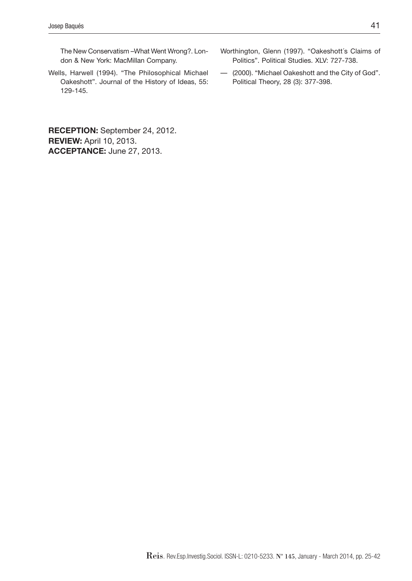The New Conservatism –What Went Wrong?. London & New York: MacMillan Company.

Wells, Harwell (1994). "The Philosophical Michael Oakeshott". Journal of the History of Ideas, 55: 129-145.

**RECEPTION:** September 24, 2012. **REVIEW:** April 10, 2013. **ACCEPTANCE:** June 27, 2013.

- Worthington, Glenn (1997). "Oakeshott´s Claims of Politics". Political Studies. XLV: 727-738.
- (2000). "Michael Oakeshott and the City of God". Political Theory, 28 (3): 377-398.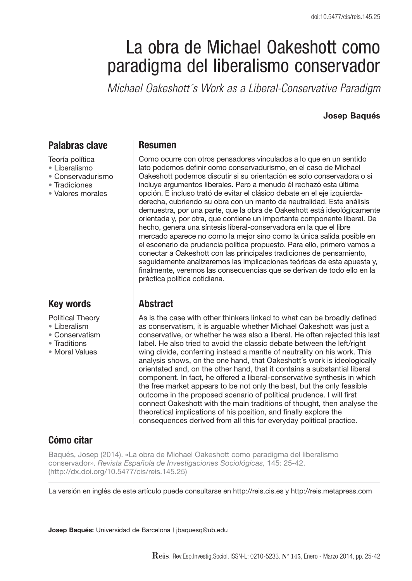# La obra de Michael Oakeshott como paradigma del liberalismo conservador

*Michael Oakeshott's Work as a Liberal-Conservative Paradigm* 

#### **Josep Baqués**

#### **Palabras clave**

- Teoría política
- Liberalismo
- Conservadurismo
- Tradiciones
- Valores morales

# **Key words**

Political Theory

- Liberalism
- Conservatism
- Traditions
- Moral Values

#### **Resumen**

Como ocurre con otros pensadores vinculados a lo que en un sentido lato podemos definir como conservadurismo, en el caso de Michael Oakeshott podemos discutir si su orientación es solo conservadora o si incluye argumentos liberales. Pero a menudo él rechazó esta última opción. E incluso trató de evitar el clásico debate en el eje izquierdaderecha, cubriendo su obra con un manto de neutralidad. Este análisis demuestra, por una parte, que la obra de Oakeshott está ideológicamente orientada y, por otra, que contiene un importante componente liberal. De hecho, genera una síntesis liberal-conservadora en la que el libre mercado aparece no como la mejor sino como la única salida posible en el escenario de prudencia política propuesto. Para ello, primero vamos a conectar a Oakeshott con las principales tradiciones de pensamiento, seguidamente analizaremos las implicaciones teóricas de esta apuesta y, finalmente, veremos las consecuencias que se derivan de todo ello en la práctica política cotidiana.

# **Abstract**

As is the case with other thinkers linked to what can be broadly defined as conservatism, it is arguable whether Michael Oakeshott was just a conservative, or whether he was also a liberal. He often rejected this last label. He also tried to avoid the classic debate between the left/right wing divide, conferring instead a mantle of neutrality on his work. This analysis shows, on the one hand, that Oakeshott´s work is ideologically orientated and, on the other hand, that it contains a substantial liberal component. In fact, he offered a liberal-conservative synthesis in which the free market appears to be not only the best, but the only feasible outcome in the proposed scenario of political prudence. I will first connect Oakeshott with the main traditions of thought, then analyse the theoretical implications of his position, and finally explore the consequences derived from all this for everyday political practice.

# **Cómo citar**

Baqués, Josep (2014). «La obra de Michael Oakeshott como paradigma del liberalismo conservador». *Revista Española de Investigaciones Sociológicas,* 145: 25-42. (http://dx.doi.org/10.5477/cis/reis.145.25)

La versión en inglés de este artículo puede consultarse en http://reis.cis.es y http://reis.metapress.com

**Josep Baqués:** Universidad de Barcelona | jbaquesq@ub.edu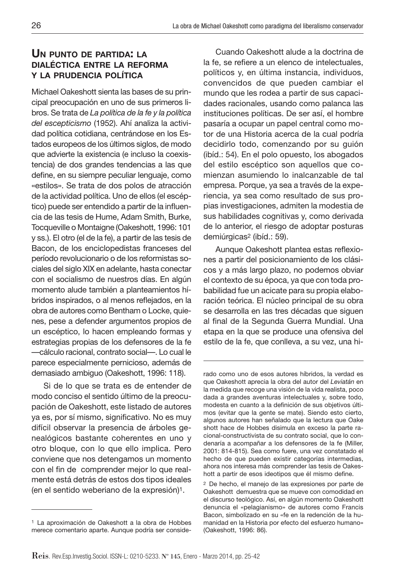## **UN PUNTO DE PARTIDA: LA DIALÉCTICA ENTRE LA REFORMA Y LA PRUDENCIA POLÍTICA**

Michael Oakeshott sienta las bases de su principal preocupación en uno de sus primeros libros. Se trata de *La política de la fe y la política del escepticismo* (1952). Ahí analiza la actividad política cotidiana, centrándose en los Estados europeos de los últimos siglos, de modo que advierte la existencia (e incluso la coexistencia) de dos grandes tendencias a las que define, en su siempre peculiar lenguaje, como «estilos». Se trata de dos polos de atracción de la actividad política. Uno de ellos (el escéptico) puede ser entendido a partir de la influencia de las tesis de Hume, Adam Smith, Burke, Tocqueville o Montaigne (Oakeshott, 1996: 101 y ss.). El otro (el de la fe), a partir de las tesis de Bacon, de los enciclopedistas franceses del período revolucionario o de los reformistas sociales del siglo XIX en adelante, hasta conectar con el socialismo de nuestros días. En algún momento alude también a planteamientos híbridos inspirados, o al menos reflejados, en la obra de autores como Bentham o Locke, quienes, pese a defender argumentos propios de un escéptico, lo hacen empleando formas y estrategias propias de los defensores de la fe —cálculo racional, contrato social—. Lo cual le parece especialmente pernicioso, además de demasiado ambiguo (Oakeshott, 1996: 118).

Si de lo que se trata es de entender de modo conciso el sentido último de la preocupación de Oakeshott, este listado de autores ya es, por sí mismo, significativo. No es muy difícil observar la presencia de árboles genealógicos bastante coherentes en uno y otro bloque, con lo que ello implica. Pero conviene que nos detengamos un momento con el fin de comprender mejor lo que realmente está detrás de estos dos tipos ideales (en el sentido weberiano de la expresión)1.

Cuando Oakeshott alude a la doctrina de la fe, se refiere a un elenco de intelectuales, políticos y, en última instancia, individuos, convencidos de que pueden cambiar el mundo que les rodea a partir de sus capacidades racionales, usando como palanca las instituciones políticas. De ser así, el hombre pasaría a ocupar un papel central como motor de una Historia acerca de la cual podría decidirlo todo, comenzando por su guión (ibíd.: 54). En el polo opuesto, los abogados del estilo escéptico son aquellos que comienzan asumiendo lo inalcanzable de tal empresa. Porque, ya sea a través de la experiencia, ya sea como resultado de sus propias investigaciones, admiten la modestia de sus habilidades cognitivas y, como derivada de lo anterior, el riesgo de adoptar posturas demiúrgicas2 (ibíd.: 59).

Aunque Oakeshott plantea estas reflexiones a partir del posicionamiento de los clásicos y a más largo plazo, no podemos obviar el contexto de su época, ya que con toda probabilidad fue un acicate para su propia elaboración teórica. El núcleo principal de su obra se desarrolla en las tres décadas que siguen al final de la Segunda Guerra Mundial. Una etapa en la que se produce una ofensiva del estilo de la fe, que conlleva, a su vez, una hi-

<sup>1</sup> La aproximación de Oakeshott a la obra de Hobbes merece comentario aparte. Aunque podría ser conside-

rado como uno de esos autores híbridos, la verdad es que Oakeshott aprecia la obra del autor del *Leviatán* en la medida que recoge una visión de la vida realista, poco dada a grandes aventuras intelectuales y, sobre todo, modesta en cuanto a la definición de sus objetivos últimos (evitar que la gente se mate). Siendo esto cierto, algunos autores han señalado que la lectura que Oake shott hace de Hobbes disimula en exceso la parte racional-constructivista de su contrato social, que lo condenaría a acompañar a los defensores de la fe (Miller, 2001: 814-815). Sea como fuere, una vez constatado el hecho de que pueden existir categorías intermedias, ahora nos interesa más comprender las tesis de Oakeshott a partir de esos ideotipos que él mismo define.

<sup>2</sup> De hecho, el manejo de las expresiones por parte de Oakeshott demuestra que se mueve con comodidad en el discurso teológico. Así, en algún momento Oakeshott denuncia el «pelagianismo» de autores como Francis Bacon, simbolizado en su «fe en la redención de la humanidad en la Historia por efecto del esfuerzo humano» (Oakeshott, 1996: 86).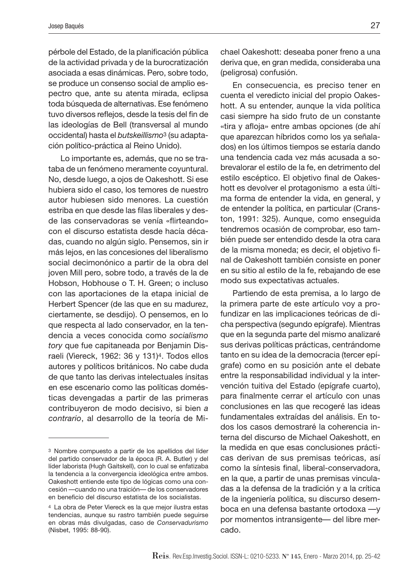pérbole del Estado, de la planificación pública de la actividad privada y de la burocratización asociada a esas dinámicas. Pero, sobre todo, se produce un consenso social de amplio espectro que, ante su atenta mirada, eclipsa toda búsqueda de alternativas. Ese fenómeno tuvo diversos reflejos, desde la tesis del fin de las ideologías de Bell (transversal al mundo occidental) hasta el *butskeillismo*3 (su adaptación político-práctica al Reino Unido).

Lo importante es, además, que no se trataba de un fenómeno meramente coyuntural. No, desde luego, a ojos de Oakeshott. Si ese hubiera sido el caso, los temores de nuestro autor hubiesen sido menores. La cuestión estriba en que desde las filas liberales y desde las conservadoras se venía «flirteando» con el discurso estatista desde hacía décadas, cuando no algún siglo. Pensemos, sin ir más lejos, en las concesiones del liberalismo social decimonónico a partir de la obra del joven Mill pero, sobre todo, a través de la de Hobson, Hobhouse o T. H. Green; o incluso con las aportaciones de la etapa inicial de Herbert Spencer (de las que en su madurez, ciertamente, se desdijo). O pensemos, en lo que respecta al lado conservador, en la tendencia a veces conocida como *socialismo tory* que fue capitaneada por Benjamin Disraeli (Viereck, 1962: 36 y 131)4. Todos ellos autores y políticos británicos. No cabe duda de que tanto las derivas intelectuales ínsitas en ese escenario como las políticas domésticas devengadas a partir de las primeras contribuyeron de modo decisivo, si bien *a contrario*, al desarrollo de la teoría de Michael Oakeshott: deseaba poner freno a una deriva que, en gran medida, consideraba una (peligrosa) confusión.

En consecuencia, es preciso tener en cuenta el veredicto inicial del propio Oakeshott. A su entender, aunque la vida política casi siempre ha sido fruto de un constante «tira y afloja» entre ambas opciones (de ahí que aparezcan híbridos como los ya señalados) en los últimos tiempos se estaría dando una tendencia cada vez más acusada a sobrevalorar el estilo de la fe, en detrimento del estilo escéptico. El objetivo final de Oakeshott es devolver el protagonismo a esta última forma de entender la vida, en general, y de entender la política, en particular (Cranston, 1991: 325). Aunque, como enseguida tendremos ocasión de comprobar, eso también puede ser entendido desde la otra cara de la misma moneda; es decir, el objetivo final de Oakeshott también consiste en poner en su sitio al estilo de la fe, rebajando de ese modo sus expectativas actuales.

Partiendo de esta premisa, a lo largo de la primera parte de este artículo voy a profundizar en las implicaciones teóricas de dicha perspectiva (segundo epígrafe). Mientras que en la segunda parte del mismo analizaré sus derivas políticas prácticas, centrándome tanto en su idea de la democracia (tercer epígrafe) como en su posición ante el debate entre la responsabilidad individual y la intervención tuitiva del Estado (epígrafe cuarto), para finalmente cerrar el artículo con unas conclusiones en las que recogeré las ideas fundamentales extraídas del análisis. En todos los casos demostraré la coherencia interna del discurso de Michael Oakeshott, en la medida en que esas conclusiones prácticas derivan de sus premisas teóricas, así como la síntesis final, liberal-conservadora, en la que, a partir de unas premisas vinculadas a la defensa de la tradición y a la crítica de la ingeniería política, su discurso desemboca en una defensa bastante ortodoxa —y por momentos intransigente— del libre mercado.

<sup>3</sup> Nombre compuesto a partir de los apellidos del líder del partido conservador de la época (R. A. Butler) y del líder laborista (Hugh Gaitskell), con lo cual se enfatizaba la tendencia a la convergencia ideológica entre ambos. Oakeshott entiende este tipo de lógicas como una concesión —cuando no una traición— de los conservadores en beneficio del discurso estatista de los socialistas.

<sup>4</sup> La obra de Peter Viereck es la que mejor ilustra estas tendencias, aunque su rastro también puede seguirse en obras más divulgadas, caso de *Conservadurismo* (Nisbet, 1995: 88-90).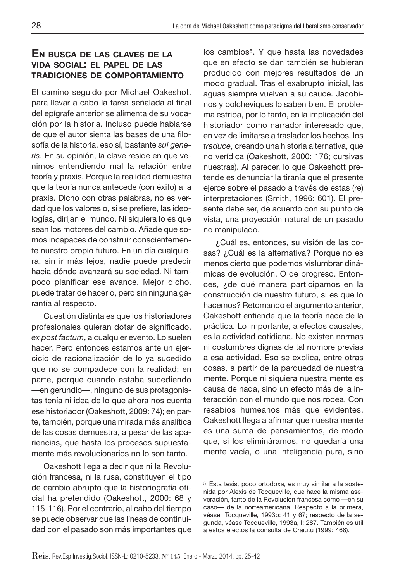## **EN BUSCA DE LAS CLAVES DE LA VIDA SOCIAL: EL PAPEL DE LAS TRADICIONES DE COMPORTAMIENTO**

El camino seguido por Michael Oakeshott para llevar a cabo la tarea señalada al final del epígrafe anterior se alimenta de su vocación por la historia. Incluso puede hablarse de que el autor sienta las bases de una filosofía de la historia, eso sí, bastante *sui generis*. En su opinión, la clave reside en que venimos entendiendo mal la relación entre teoría y praxis. Porque la realidad demuestra que la teoría nunca antecede (con éxito) a la praxis. Dicho con otras palabras, no es verdad que los valores o, si se prefiere, las ideologías, dirijan el mundo. Ni siquiera lo es que sean los motores del cambio. Añade que somos incapaces de construir conscientemente nuestro propio futuro. En un día cualquiera, sin ir más lejos, nadie puede predecir hacia dónde avanzará su sociedad. Ni tampoco planificar ese avance. Mejor dicho, puede tratar de hacerlo, pero sin ninguna garantía al respecto.

Cuestión distinta es que los historiadores profesionales quieran dotar de significado, *ex post factum*, a cualquier evento. Lo suelen hacer. Pero entonces estamos ante un ejercicio de racionalización de lo ya sucedido que no se compadece con la realidad; en parte, porque cuando estaba sucediendo —en gerundio—, ninguno de sus protagonistas tenía ni idea de lo que ahora nos cuenta ese historiador (Oakeshott, 2009: 74); en parte, también, porque una mirada más analítica de las cosas demuestra, a pesar de las apariencias, que hasta los procesos supuestamente más revolucionarios no lo son tanto.

Oakeshott llega a decir que ni la Revolución francesa, ni la rusa, constituyen el tipo de cambio abrupto que la historiografía oficial ha pretendido (Oakeshott, 2000: 68 y 115-116). Por el contrario, al cabo del tiempo se puede observar que las líneas de continuidad con el pasado son más importantes que los cambios5. Y que hasta las novedades que en efecto se dan también se hubieran producido con mejores resultados de un modo gradual. Tras el exabrupto inicial, las aguas siempre vuelven a su cauce. Jacobinos y bolcheviques lo saben bien. El problema estriba, por lo tanto, en la implicación del historiador como narrador interesado que, en vez de limitarse a trasladar los hechos, los *traduce*, creando una historia alternativa, que no verídica (Oakeshott, 2000: 176; cursivas nuestras). Al parecer, lo que Oakeshott pretende es denunciar la tiranía que el presente ejerce sobre el pasado a través de estas (re) interpretaciones (Smith, 1996: 601). El presente debe ser, de acuerdo con su punto de vista, una proyección natural de un pasado no manipulado.

¿Cuál es, entonces, su visión de las cosas? ¿Cuál es la alternativa? Porque no es menos cierto que podemos vislumbrar dinámicas de evolución. O de progreso. Entonces, ¿de qué manera participamos en la construcción de nuestro futuro, si es que lo hacemos? Retomando el argumento anterior, Oakeshott entiende que la teoría nace de la práctica. Lo importante, a efectos causales, es la actividad cotidiana. No existen normas ni costumbres dignas de tal nombre previas a esa actividad. Eso se explica, entre otras cosas, a partir de la parquedad de nuestra mente. Porque ni siquiera nuestra mente es causa de nada, sino un efecto más de la interacción con el mundo que nos rodea. Con resabios humeanos más que evidentes, Oakeshott llega a afirmar que nuestra mente es una suma de pensamientos, de modo que, si los elimináramos, no quedaría una mente vacía, o una inteligencia pura, sino

<sup>5</sup> Esta tesis, poco ortodoxa, es muy similar a la sostenida por Alexis de Tocqueville, que hace la misma aseveración, tanto de la Revolución francesa como —en su caso— de la norteamericana. Respecto a la primera, véase Tocqueville, 1993b: 41 y 67; respecto de la segunda, véase Tocqueville, 1993a, I: 287. También es útil a estos efectos la consulta de Craiutu (1999: 468).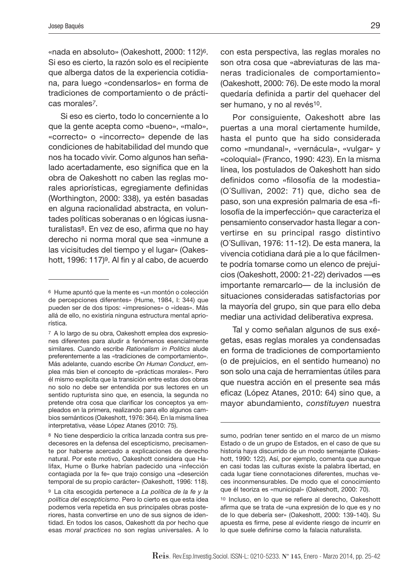«nada en absoluto» (Oakeshott, 2000: 112)6. Si eso es cierto, la razón solo es el recipiente que alberga datos de la experiencia cotidiana, para luego «condensarlos» en forma de tradiciones de comportamiento o de prácticas morales*7*.

Si eso es cierto, todo lo concerniente a lo que la gente acepta como «bueno», «malo», «correcto» o «incorrecto» depende de las condiciones de habitabilidad del mundo que nos ha tocado vivir. Como algunos han señalado acertadamente, eso significa que en la obra de Oakeshott no caben las reglas morales apriorísticas, egregiamente definidas (Worthington, 2000: 338), ya estén basadas en alguna racionalidad abstracta, en voluntades políticas soberanas o en lógicas iusnaturalistas<sup>8</sup>. En vez de eso, afirma que no hay derecho ni norma moral que sea «inmune a las vicisitudes del tiempo y el lugar» (Oakeshott, 1996: 117)<sup>9</sup>. Al fin y al cabo, de acuerdo

con esta perspectiva, las reglas morales no son otra cosa que «abreviaturas de las maneras tradicionales de comportamiento» (Oakeshott, 2000: 76). De este modo la moral quedaría definida a partir del quehacer del ser humano, y no al revés<sup>10</sup>.

Por consiguiente, Oakeshott abre las puertas a una moral ciertamente humilde, hasta el punto que ha sido considerada como «mundanal», «vernácula», «vulgar» y «coloquial» (Franco, 1990: 423). En la misma línea, los postulados de Oakeshott han sido definidos como «filosofía de la modestia» (O´Sullivan, 2002: 71) que, dicho sea de paso, son una expresión palmaria de esa «filosofía de la imperfección» que caracteriza el pensamiento conservador hasta llegar a convertirse en su principal rasgo distintivo (O´Sullivan, 1976: 11-12). De esta manera, la vivencia cotidiana dará pie a lo que fácilmente podría tomarse como un elenco de prejuicios (Oakeshott, 2000: 21-22) derivados —es importante remarcarlo— de la inclusión de situaciones consideradas satisfactorias por la mayoría del grupo, sin que para ello deba mediar una actividad deliberativa expresa.

Tal y como señalan algunos de sus exégetas, esas reglas morales ya condensadas en forma de tradiciones de comportamiento (o de prejuicios, en el sentido humeano) no son solo una caja de herramientas útiles para que nuestra acción en el presente sea más eficaz (López Atanes, 2010: 64) sino que, a mayor abundamiento, *constituyen* nuestra

<sup>6</sup> Hume apuntó que la mente es «un montón o colección de percepciones diferentes» (Hume, 1984, I: 344) que pueden ser de dos tipos: «impresiones» o «ideas». Más allá de ello, no existiría ninguna estructura mental apriorística.

<sup>7</sup> A lo largo de su obra, Oakeshott emplea dos expresiones diferentes para aludir a fenómenos esencialmente similares. Cuando escribe *Rationalism in Politics* alude preferentemente a las «tradiciones de comportamiento». Más adelante, cuando escribe *On Human Conduct*, emplea más bien el concepto de «prácticas morales». Pero él mismo explicita que la transición entre estas dos obras no solo no debe ser entendida por sus lectores en un sentido rupturista sino que, en esencia, la segunda no pretende otra cosa que clarificar los conceptos ya empleados en la primera, realizando para ello algunos cambios semánticos (Oakeshott, 1976: 364). En la misma línea interpretativa, véase López Atanes (2010: 75).

<sup>8</sup> No tiene desperdicio la crítica lanzada contra sus predecesores en la defensa del escepticismo, precisamente por haberse acercado a explicaciones de derecho natural. Por este motivo, Oakeshott considera que Halifax, Hume o Burke habrían padecido una «infección contagiada por la fe» que trajo consigo una «deserción temporal de su propio carácter» (Oakeshott, 1996: 118).

<sup>9</sup> La cita escogida pertenece a *La política de la fe y la política del escepticismo*. Pero lo cierto es que esta idea podemos verla repetida en sus principales obras posteriores, hasta convertirse en uno de sus signos de identidad. En todos los casos, Oakeshott da por hecho que esas *moral practices* no son reglas universales. A lo

sumo, podrían tener sentido en el marco de un mismo Estado o de un grupo de Estados, en el caso de que su historia haya discurrido de un modo semejante (Oakeshott, 1990: 122). Así, por ejemplo, comenta que aunque en casi todas las culturas existe la palabra libertad, en cada lugar tiene connotaciones diferentes, muchas veces inconmensurables. De modo que el conocimiento que él teoriza es «municipal» (Oakeshott, 2000: 70).

<sup>10</sup> Incluso, en lo que se refiere al derecho, Oakeshott afirma que se trata de «una expresión de lo que es y no de lo que debería ser» (Oakeshott, 2000: 139-140). Su apuesta es firme, pese al evidente riesgo de incurrir en lo que suele definirse como la falacia naturalista.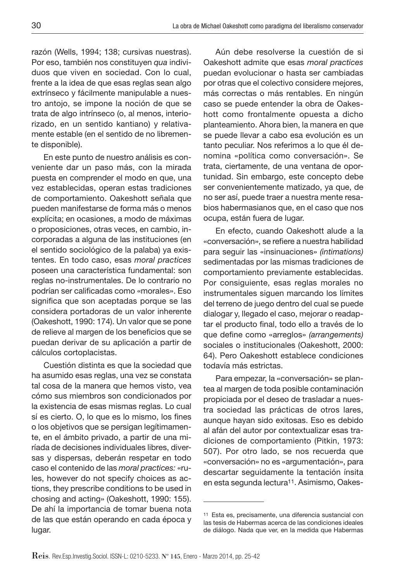razón (Wells, 1994; 138; cursivas nuestras). Por eso, también nos constituyen *qua* individuos que viven en sociedad. Con lo cual, frente a la idea de que esas reglas sean algo extrínseco y fácilmente manipulable a nuestro antojo, se impone la noción de que se trata de algo intrínseco (o, al menos, interiorizado, en un sentido kantiano) y relativamente estable (en el sentido de no libremente disponible).

En este punto de nuestro análisis es conveniente dar un paso más, con la mirada puesta en comprender el modo en que, una vez establecidas, operan estas tradiciones de comportamiento. Oakeshott señala que pueden manifestarse de forma más o menos explícita; en ocasiones, a modo de máximas o proposiciones, otras veces, en cambio, incorporadas a alguna de las instituciones (en el sentido sociológico de la palaba) ya existentes. En todo caso, esas *moral practices* poseen una característica fundamental: son reglas no-instrumentales. De lo contrario no podrían ser calificadas como «morales». Eso significa que son aceptadas porque se las considera portadoras de un valor inherente (Oakeshott, 1990: 174). Un valor que se pone de relieve al margen de los beneficios que se puedan derivar de su aplicación a partir de cálculos cortoplacistas.

Cuestión distinta es que la sociedad que ha asumido esas reglas, una vez se constata tal cosa de la manera que hemos visto, vea cómo sus miembros son condicionados por la existencia de esas mismas reglas. Lo cual sí es cierto. O, lo que es lo mismo, los fines o los objetivos que se persigan legítimamente, en el ámbito privado, a partir de una miríada de decisiones individuales libres, diversas y dispersas, deberán respetar en todo caso el contenido de las *moral practices:* «rules, however do not specify choices as actions, they prescribe conditions to be used in chosing and acting» (Oakeshott, 1990: 155). De ahí la importancia de tomar buena nota de las que están operando en cada época y lugar.

Aún debe resolverse la cuestión de si Oakeshott admite que esas *moral practices* puedan evolucionar o hasta ser cambiadas por otras que el colectivo considere mejores, más correctas o más rentables. En ningún caso se puede entender la obra de Oakeshott como frontalmente opuesta a dicho planteamiento. Ahora bien, la manera en que se puede llevar a cabo esa evolución es un tanto peculiar. Nos referimos a lo que él denomina «política como conversación». Se trata, ciertamente, de una ventana de oportunidad. Sin embargo, este concepto debe ser convenientemente matizado, ya que, de no ser así, puede traer a nuestra mente resabios habermasianos que, en el caso que nos ocupa, están fuera de lugar.

En efecto, cuando Oakeshott alude a la «conversación», se refiere a nuestra habilidad para seguir las «insinuaciones» *(intimations)* sedimentadas por las mismas tradiciones de comportamiento previamente establecidas. Por consiguiente, esas reglas morales no instrumentales siguen marcando los límites del terreno de juego dentro del cual se puede dialogar y, llegado el caso, mejorar o readaptar el producto final, todo ello a través de lo que define como «arreglos» *(arrangements)* sociales o institucionales (Oakeshott, 2000: 64). Pero Oakeshott establece condiciones todavía más estrictas.

Para empezar, la «conversación» se plantea al margen de toda posible contaminación propiciada por el deseo de trasladar a nuestra sociedad las prácticas de otros lares, aunque hayan sido exitosas. Eso es debido al afán del autor por contextualizar esas tradiciones de comportamiento (Pitkin, 1973: 507). Por otro lado, se nos recuerda que «conversación» no es «argumentación», para descartar seguidamente la tentación ínsita en esta segunda lectura11. Asimismo, Oakes-

<sup>11</sup> Esta es, precisamente, una diferencia sustancial con las tesis de Habermas acerca de las condiciones ideales de diálogo. Nada que ver, en la medida que Habermas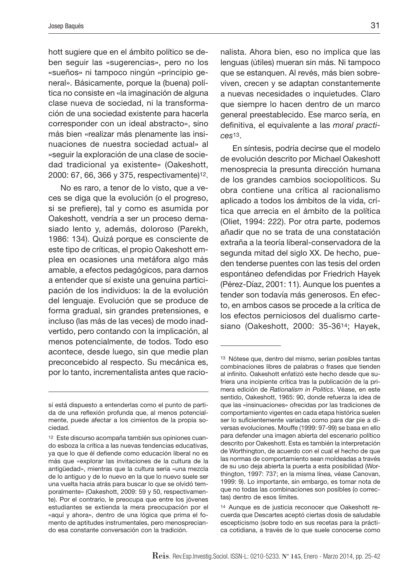hott sugiere que en el ámbito político se deben seguir las «sugerencias», pero no los «sueños» ni tampoco ningún «principio general». Básicamente, porque la (buena) política no consiste en «la imaginación de alguna clase nueva de sociedad, ni la transformación de una sociedad existente para hacerla corresponder con un ideal abstracto», sino más bien «realizar más plenamente las insinuaciones de nuestra sociedad actual» al «seguir la exploración de una clase de sociedad tradicional ya existente» (Oakeshott, 2000: 67, 66, 366 y 375, respectivamente)12.

No es raro, a tenor de lo visto, que a veces se diga que la evolución (o el progreso, si se prefiere), tal y como es asumida por Oakeshott, vendría a ser un proceso demasiado lento y, además, doloroso (Parekh, 1986: 134). Quizá porque es consciente de este tipo de críticas, el propio Oakeshott emplea en ocasiones una metáfora algo más amable, a efectos pedagógicos, para darnos a entender que sí existe una genuina participación de los individuos: la de la evolución del lenguaje. Evolución que se produce de forma gradual, sin grandes pretensiones, e incluso (las más de las veces) de modo inadvertido, pero contando con la implicación, al menos potencialmente, de todos. Todo eso acontece, desde luego, sin que medie plan preconcebido al respecto. Su mecánica es, por lo tanto, incrementalista antes que racionalista. Ahora bien, eso no implica que las lenguas (útiles) mueran sin más. Ni tampoco que se estanquen. Al revés, más bien sobreviven, crecen y se adaptan constantemente a nuevas necesidades o inquietudes. Claro que siempre lo hacen dentro de un marco general preestablecido. Ese marco sería, en definitiva, el equivalente a las *moral practices*13.

En síntesis, podría decirse que el modelo de evolución descrito por Michael Oakeshott menosprecia la presunta dirección humana de los grandes cambios sociopolíticos. Su obra contiene una crítica al racionalismo aplicado a todos los ámbitos de la vida, crítica que arrecia en el ámbito de la política (Oliet, 1994: 222). Por otra parte, podemos añadir que no se trata de una constatación extraña a la teoría liberal-conservadora de la segunda mitad del siglo XX. De hecho, pueden tenderse puentes con las tesis del orden espontáneo defendidas por Friedrich Hayek (Pérez-Díaz, 2001: 11). Aunque los puentes a tender son todavía más generosos. En efecto, en ambos casos se procede a la crítica de los efectos perniciosos del dualismo cartesiano (Oakeshott, 2000: 35-3614; Hayek,

sí está dispuesto a entenderlas como el punto de partida de una reflexión profunda que, al menos potencialmente, puede afectar a los cimientos de la propia sociedad.

<sup>12</sup> Este discurso acompaña también sus opiniones cuando esboza la crítica a las nuevas tendencias educativas, ya que lo que él defiende como educación liberal no es más que «explorar las invitaciones de la cultura de la antigüedad», mientras que la cultura sería «una mezcla de lo antiguo y de lo nuevo en la que lo nuevo suele ser una vuelta hacia atrás para buscar lo que se olvidó temporalmente» (Oakeshott, 2009: 59 y 50, respectivamente). Por el contrario, le preocupa que entre los jóvenes estudiantes se extienda la mera preocupación por el «aquí y ahora», dentro de una lógica que prima el fomento de aptitudes instrumentales, pero menospreciando esa constante conversación con la tradición.

<sup>13</sup> Nótese que, dentro del mismo, serían posibles tantas combinaciones libres de palabras o frases que tienden al infinito. Oakeshott enfatizó este hecho desde que sufriera una incipiente crítica tras la publicación de la primera edición de *Rationalism in Politics*. Véase, en este sentido, Oakeshott, 1965: 90, donde refuerza la idea de que las «insinuaciones» ofrecidas por las tradiciones de comportamiento vigentes en cada etapa histórica suelen ser lo suficientemente variadas como para dar pie a diversas evoluciones. Mouffe (1999: 97-99) se basa en ello para defender una imagen abierta del escenario político descrito por Oakeshott. Esta es también la interpretación de Worthington, de acuerdo con el cual el hecho de que las normas de comportamiento sean moldeadas a través de su uso deja abierta la puerta a esta posibilidad (Worthington, 1997: 737; en la misma línea, véase Canovan, 1999: 9). Lo importante, sin embargo, es tomar nota de que no todas las combinaciones son posibles (o correctas) dentro de esos límites.

<sup>14</sup> Aunque es de justicia reconocer que Oakeshott recuerda que Descartes aceptó ciertas dosis de saludable escepticismo (sobre todo en sus recetas para la práctica cotidiana, a través de lo que suele conocerse como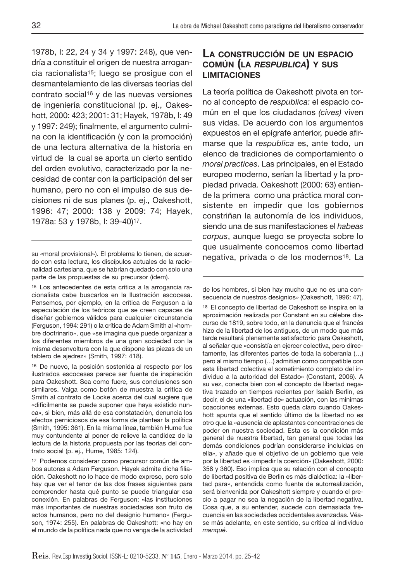1978b, I: 22, 24 y 34 y 1997: 248), que vendría a constituir el origen de nuestra arrogancia racionalista15; luego se prosigue con el desmantelamiento de las diversas teorías del contrato social16 y de las nuevas versiones de ingeniería constitucional (p. ej., Oakeshott, 2000: 423; 2001: 31; Hayek, 1978b, I: 49 y 1997: 249); finalmente, el argumento culmina con la identificación (y con la promoción) de una lectura alternativa de la historia en virtud de la cual se aporta un cierto sentido del orden evolutivo, caracterizado por la necesidad de contar con la participación del ser humano, pero no con el impulso de sus decisiones ni de sus planes (p. ej., Oakeshott, 1996: 47; 2000: 138 y 2009: 74; Hayek, 1978a: 53 y 1978b, I: 39-40)17.

15 Los antecedentes de esta crítica a la arrogancia racionalista cabe buscarlos en la Ilustración escocesa. Pensemos, por ejemplo, en la crítica de Ferguson a la especulación de los teóricos que se creen capaces de diseñar gobiernos válidos para cualquier circunstancia (Ferguson, 1994: 291) o la crítica de Adam Smith al «hombre doctrinario», que «se imagina que puede organizar a los diferentes miembros de una gran sociedad con la misma desenvoltura con la que dispone las piezas de un tablero de ajedrez» (Smith, 1997: 418).

16 De nuevo, la posición sostenida al respecto por los ilustrados escoceses parece ser fuente de inspiración para Oakeshott. Sea como fuere, sus conclusiones son similares. Valga como botón de muestra la crítica de Smith al contrato de Locke acerca del cual sugiere que «difícilmente se puede suponer que haya existido nunca», si bien, más allá de esa constatación, denuncia los efectos perniciosos de esa forma de plantear la política (Smith, 1995: 361). En la misma línea, también Hume fue muy contundente al poner de relieve la candidez de la lectura de la historia propuesta por las teorías del contrato social (p. ej., Hume, 1985: 124).

17 Podemos considerar como precursor común de ambos autores a Adam Ferguson. Hayek admite dicha filiación. Oakeshott no lo hace de modo expreso, pero solo hay que ver el tenor de las dos frases siguientes para comprender hasta qué punto se puede triangular esa conexión. En palabras de Ferguson: «las instituciones más importantes de nuestras sociedades son fruto de actos humanos, pero no del designio humano» (Ferguson, 1974: 255). En palabras de Oakeshott: «no hay en el mundo de la política nada que no venga de la actividad

### **LA CONSTRUCCIÓN DE UN ESPACIO COMÚN (LA** *RESPUBLICA***) Y SUS LIMITACIONES**

La teoría política de Oakeshott pivota en torno al concepto de *respublica:* el espacio común en el que los ciudadanos *(cives)* viven sus vidas. De acuerdo con los argumentos expuestos en el epígrafe anterior, puede afirmarse que la *respublica* es, ante todo, un elenco de tradiciones de comportamiento o *moral practices*. Las principales, en el Estado europeo moderno, serían la libertad y la propiedad privada. Oakeshott (2000: 63) entiende la primera como una práctica moral consistente en impedir que los gobiernos constriñan la autonomía de los individuos, siendo una de sus manifestaciones el *habeas corpus*, aunque luego se proyecta sobre lo que usualmente conocemos como libertad negativa, privada o de los modernos18. La

de los hombres, si bien hay mucho que no es una consecuencia de nuestros designios» (Oakeshott, 1996: 47).

18 El concepto de libertad de Oakeshott se inspira en la aproximación realizada por Constant en su célebre discurso de 1819, sobre todo, en la denuncia que el francés hizo de la libertad de los antiguos, de un modo que más tarde resultará plenamente satisfactorio para Oakeshott, al señalar que «consistía en ejercer colectiva, pero directamente, las diferentes partes de toda la soberanía (…) pero al mismo tiempo (…) admitían como compatible con esta libertad colectiva el sometimiento completo del individuo a la autoridad del Estado» (Constant, 2006). A su vez, conecta bien con el concepto de libertad negativa trazado en tiempos recientes por Isaiah Berlin, es decir, el de una «libertad de» actuación, con las mínimas coacciones externas. Esto queda claro cuando Oakeshott apunta que el sentido último de la libertad no es otro que la «ausencia de aplastantes concentraciones de poder en nuestra sociedad. Esta es la condición más general de nuestra libertad, tan general que todas las demás condiciones podrían considerarse incluidas en ella», y añade que el objetivo de un gobierno que vele por la libertad es «impedir la coerción» (Oakeshott, 2000: 358 y 360). Eso implica que su relación con el concepto de libertad positiva de Berlin es más dialéctica: la «libertad para», entendida como fuente de autorrealización, será bienvenida por Oakeshott siempre y cuando el precio a pagar no sea la negación de la libertad negativa. Cosa que, a su entender, sucede con demasiada frecuencia en las sociedades occidentales avanzadas. Véase más adelante, en este sentido, su crítica al individuo *manqué*.

su «moral provisional»). El problema lo tienen, de acuerdo con esta lectura, los discípulos actuales de la racionalidad cartesiana, que se habrían quedado con solo una parte de las propuestas de su precursor (ídem).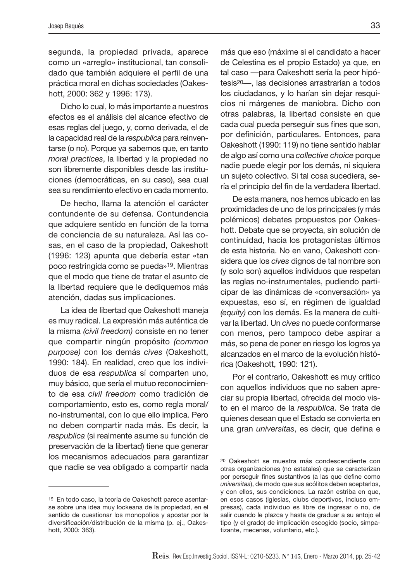segunda, la propiedad privada, aparece como un «arreglo» institucional, tan consolidado que también adquiere el perfil de una práctica moral en dichas sociedades (Oakeshott, 2000: 362 y 1996: 173).

Dicho lo cual, lo más importante a nuestros efectos es el análisis del alcance efectivo de esas reglas del juego, y, como derivada, el de la capacidad real de la *respublica* para reinventarse (o no). Porque ya sabemos que, en tanto *moral practices*, la libertad y la propiedad no son libremente disponibles desde las instituciones (democráticas, en su caso), sea cual sea su rendimiento efectivo en cada momento.

De hecho, llama la atención el carácter contundente de su defensa. Contundencia que adquiere sentido en función de la toma de conciencia de su naturaleza. Así las cosas, en el caso de la propiedad, Oakeshott (1996: 123) apunta que debería estar «tan poco restringida como se pueda»19. Mientras que el modo que tiene de tratar el asunto de la libertad requiere que le dediquemos más atención, dadas sus implicaciones.

La idea de libertad que Oakeshott maneja es muy radical. La expresión más auténtica de la misma *(civil freedom)* consiste en no tener que compartir ningún propósito *(common purpose)* con los demás *cives* (Oakeshott, 1990: 184). En realidad, creo que los individuos de esa *respublica* sí comparten uno, muy básico, que sería el mutuo reconocimiento de esa *civil freedom* como tradición de comportamiento, esto es, como regla moral/ no-instrumental, con lo que ello implica. Pero no deben compartir nada más. Es decir, la *respublica* (si realmente asume su función de preservación de la libertad) tiene que generar los mecanismos adecuados para garantizar que nadie se vea obligado a compartir nada más que eso (máxime si el candidato a hacer de Celestina es el propio Estado) ya que, en tal caso —para Oakeshott sería la peor hipótesis20—, las decisiones arrastrarían a todos los ciudadanos, y lo harían sin dejar resquicios ni márgenes de maniobra. Dicho con otras palabras, la libertad consiste en que cada cual pueda perseguir sus fines que son, por definición, particulares. Entonces, para Oakeshott (1990: 119) no tiene sentido hablar de algo así como una *collective choice* porque nadie puede elegir por los demás, ni siquiera un sujeto colectivo. Si tal cosa sucediera, sería el principio del fin de la verdadera libertad.

De esta manera, nos hemos ubicado en las proximidades de uno de los principales (y más polémicos) debates propuestos por Oakeshott. Debate que se proyecta, sin solución de continuidad, hacia los protagonistas últimos de esta historia. No en vano, Oakeshott considera que los *cives* dignos de tal nombre son (y solo son) aquellos individuos que respetan las reglas no-instrumentales, pudiendo participar de las dinámicas de «conversación» ya expuestas, eso sí, en régimen de igualdad *(equity)* con los demás. Es la manera de cultivar la libertad. Un *cives* no puede conformarse con menos, pero tampoco debe aspirar a más, so pena de poner en riesgo los logros ya alcanzados en el marco de la evolución histórica (Oakeshott, 1990: 121).

Por el contrario, Oakeshott es muy crítico con aquellos individuos que no saben apreciar su propia libertad, ofrecida del modo visto en el marco de la *respublica*. Se trata de quienes desean que el Estado se convierta en una gran *universitas*, es decir, que defina e

<sup>19</sup> En todo caso, la teoría de Oakeshott parece asentarse sobre una idea muy lockeana de la propiedad, en el sentido de cuestionar los monopolios y apostar por la diversificación/distribución de la misma (p. ej., Oakeshott, 2000: 363).

<sup>20</sup> Oakeshott se muestra más condescendiente con otras organizaciones (no estatales) que se caracterizan por perseguir fines sustantivos (a las que define como *universitas*), de modo que sus acólitos deben aceptarlos, y con ellos, sus condiciones. La razón estriba en que, en esos casos (iglesias, clubs deportivos, incluso empresas), cada individuo es libre de ingresar o no, de salir cuando le plazca y hasta de graduar a su antojo el tipo (y el grado) de implicación escogido (socio, simpatizante, mecenas, voluntario, etc.).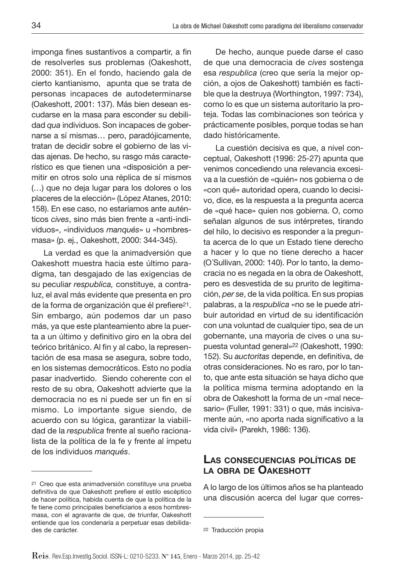imponga fines sustantivos a compartir, a fin de resolverles sus problemas (Oakeshott, 2000: 351). En el fondo, haciendo gala de cierto kantianismo, apunta que se trata de personas incapaces de autodeterminarse (Oakeshott, 2001: 137). Más bien desean escudarse en la masa para esconder su debilidad *qua* individuos. Son incapaces de gobernarse a sí mismas… pero, paradójicamente, tratan de decidir sobre el gobierno de las vidas ajenas. De hecho, su rasgo más característico es que tienen una «disposición a permitir en otros solo una réplica de sí mismos (…) que no deja lugar para los dolores o los placeres de la elección» (López Atanes, 2010: 158). En ese caso, no estaríamos ante auténticos *cives*, sino más bien frente a «anti-individuos», «individuos *manqués*» u «hombresmasa» (p. ej., Oakeshott, 2000: 344-345).

La verdad es que la animadversión que Oakeshott muestra hacia este último paradigma, tan desgajado de las exigencias de su peculiar *respublica,* constituye, a contraluz, el aval más evidente que presenta en pro de la forma de organización que él prefiere<sup>21</sup>. Sin embargo, aún podemos dar un paso más, ya que este planteamiento abre la puerta a un último y definitivo giro en la obra del teórico británico. Al fin y al cabo, la representación de esa masa se asegura, sobre todo, en los sistemas democráticos. Esto no podía pasar inadvertido. Siendo coherente con el resto de su obra, Oakeshott advierte que la democracia no es ni puede ser un fin en sí mismo. Lo importante sigue siendo, de acuerdo con su lógica, garantizar la viabilidad de la *respublica* frente al sueño racionalista de la política de la fe y frente al ímpetu de los individuos *manqués*.

De hecho, aunque puede darse el caso de que una democracia de *cives* sostenga esa *respublica* (creo que sería la mejor opción, a ojos de Oakeshott) también es factible que la destruya (Worthington, 1997: 734), como lo es que un sistema autoritario la proteja. Todas las combinaciones son teórica y prácticamente posibles, porque todas se han dado históricamente.

La cuestión decisiva es que, a nivel conceptual, Oakeshott (1996: 25-27) apunta que venimos concediendo una relevancia excesiva a la cuestión de «quién» nos gobierna o de «con qué» autoridad opera, cuando lo decisivo, dice, es la respuesta a la pregunta acerca de «qué hace» quien nos gobierna. O, como señalan algunos de sus intérpretes, tirando del hilo, lo decisivo es responder a la pregunta acerca de lo que un Estado tiene derecho a hacer y lo que no tiene derecho a hacer (O´Sullivan, 2000: 140). Por lo tanto, la democracia no es negada en la obra de Oakeshott, pero es desvestida de su prurito de legitimación, *per se*, de la vida política. En sus propias palabras, a la *respublica* «no se le puede atribuir autoridad en virtud de su identificación con una voluntad de cualquier tipo, sea de un gobernante, una mayoría de cives o una supuesta voluntad general»22 (Oakeshott, 1990: 152). Su *auctoritas* depende, en definitiva, de otras consideraciones. No es raro, por lo tanto, que ante esta situación se haya dicho que la política misma termina adoptando en la obra de Oakeshott la forma de un «mal necesario» (Fuller, 1991: 331) o que, más incisivamente aún, «no aporta nada significativo a la vida civil» (Parekh, 1986: 136).

#### **LAS CONSECUENCIAS POLÍTICAS DE LA OBRA DE OAKESHOTT**

A lo largo de los últimos años se ha planteado una discusión acerca del lugar que corres-

<sup>21</sup> Creo que esta animadversión constituye una prueba definitiva de que Oakeshott prefiere el estilo escéptico de hacer política, habida cuenta de que la política de la fe tiene como principales beneficiarios a esos hombresmasa, con el agravante de que, de triunfar, Oakeshott entiende que los condenaría a perpetuar esas debilidades de carácter.

<sup>22</sup> Traducción propia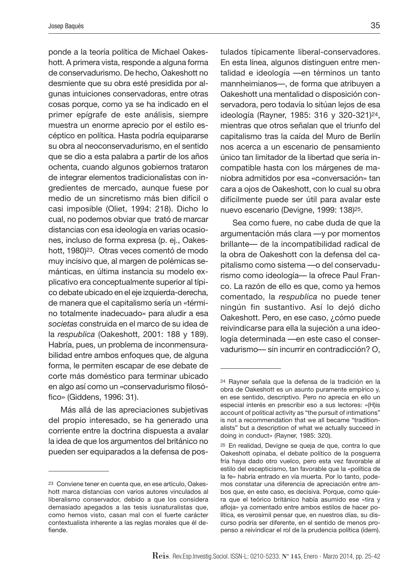ponde a la teoría política de Michael Oakeshott. A primera vista, responde a alguna forma de conservadurismo. De hecho, Oakeshott no desmiente que su obra esté presidida por algunas intuiciones conservadoras, entre otras cosas porque, como ya se ha indicado en el primer epígrafe de este análisis, siempre muestra un enorme aprecio por el estilo escéptico en política. Hasta podría equipararse su obra al neoconservadurismo, en el sentido que se dio a esta palabra a partir de los años ochenta, cuando algunos gobiernos trataron de integrar elementos tradicionalistas con ingredientes de mercado, aunque fuese por medio de un sincretismo más bien difícil o casi imposible (Oliet, 1994: 218). Dicho lo cual, no podemos obviar que trató de marcar distancias con esa ideología en varias ocasiones, incluso de forma expresa (p. ej., Oakeshott, 1980)<sup>23</sup>. Otras veces comentó de modo muy incisivo que, al margen de polémicas semánticas, en última instancia su modelo explicativo era conceptualmente superior al típico debate ubicado en el eje izquierda-derecha, de manera que el capitalismo sería un «término totalmente inadecuado» para aludir a esa *societas* construida en el marco de su idea de la *respublica* (Oakeshott, 2001: 188 y 189). Habría, pues, un problema de inconmensurabilidad entre ambos enfoques que, de alguna forma, le permiten escapar de ese debate de corte más doméstico para terminar ubicado en algo así como un «conservadurismo filosófico» (Giddens, 1996: 31).

Más allá de las apreciaciones subjetivas del propio interesado, se ha generado una corriente entre la doctrina dispuesta a avalar la idea de que los argumentos del británico no pueden ser equiparados a la defensa de pos-

tulados típicamente liberal-conservadores. En esta línea, algunos distinguen entre mentalidad e ideología —en términos un tanto mannheimianos—, de forma que atribuyen a Oakeshott una mentalidad o disposición conservadora, pero todavía lo sitúan lejos de esa ideología (Rayner, 1985: 316 y 320-321)24, mientras que otros señalan que el triunfo del capitalismo tras la caída del Muro de Berlín nos acerca a un escenario de pensamiento único tan limitador de la libertad que sería incompatible hasta con los márgenes de maniobra admitidos por esa «conversación» tan cara a ojos de Oakeshott, con lo cual su obra difícilmente puede ser útil para avalar este nuevo escenario (Devigne, 1999: 138)25.

Sea como fuere, no cabe duda de que la argumentación más clara —y por momentos brillante— de la incompatibilidad radical de la obra de Oakeshott con la defensa del capitalismo como sistema —o del conservadurismo como ideología— la ofrece Paul Franco. La razón de ello es que, como ya hemos comentado, la *respublica* no puede tener ningún fin sustantivo. Así lo dejó dicho Oakeshott. Pero, en ese caso, ¿cómo puede reivindicarse para ella la sujeción a una ideología determinada —en este caso el conservadurismo— sin incurrir en contradicción? O,

<sup>23</sup> Conviene tener en cuenta que, en ese artículo, Oakeshott marca distancias con varios autores vinculados al liberalismo conservador, debido a que los considera demasiado apegados a las tesis iusnaturalistas que, como hemos visto, casan mal con el fuerte carácter contextualista inherente a las reglas morales que él defiende.

<sup>24</sup> Rayner señala que la defensa de la tradición en la obra de Oakeshott es un asunto puramente empírico y, en ese sentido, descriptivo. Pero no aprecia en ello un especial interés en prescribir eso a sus lectores: «(H)is account of political activity as "the pursuit of intimations" is not a recommendation that we all became "traditionalists" but a description of what we actually succeed in doing in conduct» (Rayner, 1985: 320).

<sup>25</sup> En realidad, Devigne se queja de que, contra lo que Oakeshott opinaba, el debate político de la posguerra fría haya dado otro vuelco, pero esta vez favorable al estilo del escepticismo, tan favorable que la «política de la fe» habría entrado en vía muerta. Por lo tanto, podemos constatar una diferencia de apreciación entre ambos que, en este caso, es decisiva. Porque, como quiera que el teórico británico había asumido ese «tira y afloja» ya comentado entre ambos estilos de hacer política, es verosímil pensar que, en nuestros días, su discurso podría ser diferente, en el sentido de menos propenso a reivindicar el rol de la prudencia política (ídem).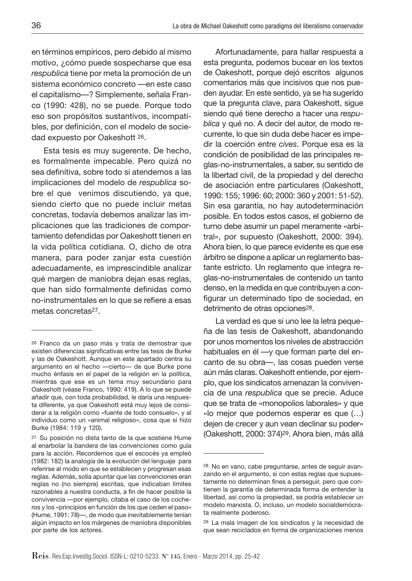en términos empíricos, pero debido al mismo motivo, ¿cómo puede sospecharse que esa *respublica* tiene por meta la promoción de un sistema económico concreto —en este caso el capitalismo—? Simplemente, señala Franco (1990: 428), no se puede. Porque todo eso son propósitos sustantivos, incompatibles, por definición, con el modelo de sociedad expuesto por Oakeshott 26.

Esta tesis es muy sugerente. De hecho, es formalmente impecable. Pero quizá no sea definitiva, sobre todo si atendemos a las implicaciones del modelo de *respublica* sobre el que venimos discutiendo, ya que, siendo cierto que no puede incluir metas concretas, todavía debemos analizar las implicaciones que las tradiciones de comportamiento defendidas por Oakeshott tienen en la vida política cotidiana. O, dicho de otra manera, para poder zanjar esta cuestión adecuadamente, es imprescindible analizar qué margen de maniobra dejan esas reglas, que han sido formalmente definidas como no-instrumentales en lo que se refiere a esas metas concretas27.

Afortunadamente, para hallar respuesta a esta pregunta, podemos bucear en los textos de Oakeshott, porque dejó escritos algunos comentarios más que incisivos que nos pueden ayudar. En este sentido, ya se ha sugerido que la pregunta clave, para Oakeshott, sigue siendo qué tiene derecho a hacer una *respublica* y qué no. A decir del autor, de modo recurrente, lo que sin duda debe hacer es impedir la coerción entre *cives*. Porque esa es la condición de posibilidad de las principales reglas-no-instrumentales, a saber, su sentido de la libertad civil, de la propiedad y del derecho de asociación entre particulares (Oakeshott, 1990: 155; 1996: 60; 2000: 360 y 2001: 51-52). Sin esa garantía, no hay autodeterminación posible. En todos estos casos, el gobierno de turno debe asumir un papel meramente «arbitral», por supuesto (Oakeshott, 2000: 394). Ahora bien, lo que parece evidente es que ese árbitro se dispone a aplicar un reglamento bastante estricto. Un reglamento que integra reglas-no-instrumentales de contenido un tanto denso, en la medida en que contribuyen a configurar un determinado tipo de sociedad, en detrimento de otras opciones<sup>28</sup>.

La verdad es que si uno lee la letra pequeña de las tesis de Oakeshott, abandonando por unos momentos los niveles de abstracción habituales en él —y que forman parte del encanto de su obra—, las cosas pueden verse aún más claras. Oakeshott entiende, por ejemplo, que los sindicatos amenazan la convivencia de una *respublica* que se precie. Aduce que se trata de «monopolios laborales» y que «lo mejor que podemos esperar es que (…) dejen de crecer y aun vean declinar su poder» (Oakeshott, 2000: 374)29. Ahora bien, más allá

<sup>26</sup> Franco da un paso más y trata de demostrar que existen diferencias significativas entre las tesis de Burke y las de Oakeshott. Aunque en este apartado centra su argumento en el hecho —cierto— de que Burke pone mucho énfasis en el papel de la religión en la política, mientras que ese es un tema muy secundario para Oakeshott (véase Franco, 1990: 419). A lo que se puede añadir que, con toda probabilidad, le daría una respuesta diferente, ya que Oakeshott está muy lejos de considerar a la religión como «fuente de todo consuelo», y al individuo como un «animal religioso», cosa que sí hizo Burke (1984: 119 y 120).

<sup>27</sup> Su posición no dista tanto de la que sostiene Hume al enarbolar la bandera de las *convenciones* como guía para la acción. Recordemos que el escocés ya empleó (1982: 182) la analogía de la evolución del lenguaje para referirse al modo en que se establecen y progresan esas reglas. Además, solía apuntar que las convenciones eran reglas no (no siempre) escritas, que indicaban límites razonables a nuestra conducta, a fin de hacer posible la convivencia —por ejemplo, citaba el caso de los cocheros y los «principios en función de los que ceden el paso» (Hume, 1991: 78)—, de modo que inevitablemente tenían algún impacto en los márgenes de maniobra disponibles por parte de los actores.

<sup>28</sup> No en vano, cabe preguntarse, antes de seguir avanzando en el argumento, si con estas reglas que supuestamente no determinan fines a perseguir, pero que contienen la garantía de determinada forma de entender la libertad, así como la propiedad, se podría establecer un modelo marxista. O, incluso, un modelo socialdemócrata realmente poderoso.

<sup>29</sup> La mala imagen de los sindicatos y la necesidad de que sean reciclados en forma de organizaciones menos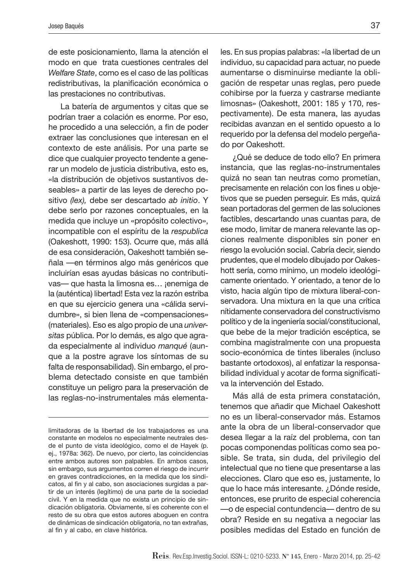de este posicionamiento, llama la atención el modo en que trata cuestiones centrales del *Welfare State*, como es el caso de las políticas redistributivas, la planificación económica o las prestaciones no contributivas.

La batería de argumentos y citas que se podrían traer a colación es enorme. Por eso, he procedido a una selección, a fin de poder extraer las conclusiones que interesan en el contexto de este análisis. Por una parte se dice que cualquier proyecto tendente a generar un modelo de justicia distributiva, esto es, «la distribución de objetivos sustantivos deseables» a partir de las leyes de derecho positivo *(lex),* debe ser descartado *ab initio*. Y debe serlo por razones conceptuales, en la medida que incluye un «propósito colectivo», incompatible con el espíritu de la *respublica* (Oakeshott, 1990: 153). Ocurre que, más allá de esa consideración, Oakeshott también señala —en términos algo más genéricos que incluirían esas ayudas básicas no contributivas— que hasta la limosna es… ¡enemiga de la (auténtica) libertad! Esta vez la razón estriba en que su ejercicio genera una «cálida servidumbre», si bien llena de «compensaciones» (materiales). Eso es algo propio de una *universitas* pública. Por lo demás, es algo que agrada especialmente al individuo *manqué* (aunque a la postre agrave los síntomas de su falta de responsabilidad). Sin embargo, el problema detectado consiste en que también constituye un peligro para la preservación de las reglas-no-instrumentales más elementales. En sus propias palabras: «la libertad de un individuo, su capacidad para actuar, no puede aumentarse o disminuirse mediante la obligación de respetar unas reglas, pero puede cohibirse por la fuerza y castrarse mediante limosnas» (Oakeshott, 2001: 185 y 170, respectivamente). De esta manera, las ayudas recibidas avanzan en el sentido opuesto a lo requerido por la defensa del modelo pergeñado por Oakeshott.

¿Qué se deduce de todo ello? En primera instancia, que las reglas-no-instrumentales quizá no sean tan neutras como prometían, precisamente en relación con los fines u objetivos que se pueden perseguir. Es más, quizá sean portadoras del germen de las soluciones factibles, descartando unas cuantas para, de ese modo, limitar de manera relevante las opciones realmente disponibles sin poner en riesgo la evolución social. Cabría decir, siendo prudentes, que el modelo dibujado por Oakeshott sería, como mínimo, un modelo ideológicamente orientado. Y orientado, a tenor de lo visto, hacia algún tipo de mixtura liberal-conservadora. Una mixtura en la que una crítica nítidamente conservadora del constructivismo político y de la ingeniería social/constitucional, que bebe de la mejor tradición escéptica, se combina magistralmente con una propuesta socio-económica de tintes liberales (incluso bastante ortodoxos), al enfatizar la responsabilidad individual y acotar de forma significativa la intervención del Estado.

Más allá de esta primera constatación, tenemos que añadir que Michael Oakeshott no es un liberal-conservador más. Estamos ante la obra de un liberal-conservador que desea llegar a la raíz del problema, con tan pocas componendas políticas como sea posible. Se trata, sin duda, del privilegio del intelectual que no tiene que presentarse a las elecciones. Claro que eso es, justamente, lo que lo hace más interesante. ¿Dónde reside, entonces, ese prurito de especial coherencia —o de especial contundencia— dentro de su obra? Reside en su negativa a negociar las posibles medidas del Estado en función de

limitadoras de la libertad de los trabajadores es una constante en modelos no especialmente neutrales desde el punto de vista ideológico, como el de Hayek (p. ej., 1978a: 362). De nuevo, por cierto, las coincidencias entre ambos autores son palpables. En ambos casos, sin embargo, sus argumentos corren el riesgo de incurrir en graves contradicciones, en la medida que los sindicatos, al fin y al cabo, son asociaciones surgidas a partir de un interés (legítimo) de una parte de la sociedad civil. Y en la medida que no exista un principio de sindicación obligatoria. Obviamente, sí es coherente con el resto de su obra que estos autores aboguen en contra de dinámicas de sindicación obligatoria, no tan extrañas, al fin y al cabo, en clave histórica.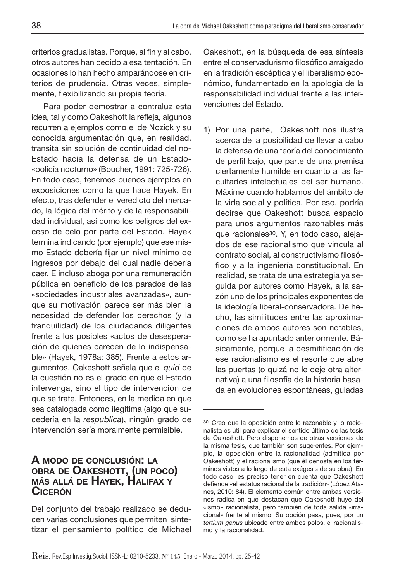criterios gradualistas. Porque, al fin y al cabo, otros autores han cedido a esa tentación. En ocasiones lo han hecho amparándose en criterios de prudencia. Otras veces, simplemente, flexibilizando su propia teoría.

Para poder demostrar a contraluz esta idea, tal y como Oakeshott la refleja, algunos recurren a ejemplos como el de Nozick y su conocida argumentación que, en realidad, transita sin solución de continuidad del no-Estado hacia la defensa de un Estado- «policía nocturno» (Boucher, 1991: 725-726). En todo caso, tenemos buenos ejemplos en exposiciones como la que hace Hayek. En efecto, tras defender el veredicto del mercado, la lógica del mérito y de la responsabilidad individual, así como los peligros del exceso de celo por parte del Estado, Hayek termina indicando (por ejemplo) que ese mismo Estado debería fijar un nivel mínimo de ingresos por debajo del cual nadie debería caer. E incluso aboga por una remuneración pública en beneficio de los parados de las «sociedades industriales avanzadas», aunque su motivación parece ser más bien la necesidad de defender los derechos (y la tranquilidad) de los ciudadanos diligentes frente a los posibles «actos de desesperación de quienes carecen de lo indispensable» (Hayek, 1978a: 385). Frente a estos argumentos, Oakeshott señala que el *quid* de la cuestión no es el grado en que el Estado intervenga, sino el tipo de intervención de que se trate. Entonces, en la medida en que sea catalogada como ilegítima (algo que sucedería en la *respublica*), ningún grado de intervención sería moralmente permisible.

## **A MODO DE CONCLUSIÓN: LA OBRA DE OAKESHOTT, (UN POCO) MÁS ALLÁ DE HAYEK, HALIFAX Y CICERÓN**

Del conjunto del trabajo realizado se deducen varias conclusiones que permiten sintetizar el pensamiento político de Michael Oakeshott, en la búsqueda de esa síntesis entre el conservadurismo filosófico arraigado en la tradición escéptica y el liberalismo económico, fundamentado en la apología de la responsabilidad individual frente a las intervenciones del Estado.

1) Por una parte, Oakeshott nos ilustra acerca de la posibilidad de llevar a cabo la defensa de una teoría del conocimiento de perfil bajo, que parte de una premisa ciertamente humilde en cuanto a las facultades intelectuales del ser humano. Máxime cuando hablamos del ámbito de la vida social y política. Por eso, podría decirse que Oakeshott busca espacio para unos argumentos razonables más que racionales30. Y, en todo caso, alejados de ese racionalismo que vincula al contrato social, al constructivismo filosófico y a la ingeniería constitucional. En realidad, se trata de una estrategia ya seguida por autores como Hayek, a la sazón uno de los principales exponentes de la ideología liberal-conservadora. De hecho, las similitudes entre las aproximaciones de ambos autores son notables, como se ha apuntado anteriormente. Básicamente, porque la desmitificación de ese racionalismo es el resorte que abre las puertas (o quizá no le deje otra alternativa) a una filosofía de la historia basada en evoluciones espontáneas, guiadas

<sup>30</sup> Creo que la oposición entre lo razonable y lo racionalista es útil para explicar el sentido último de las tesis de Oakeshott. Pero disponemos de otras versiones de la misma tesis, que también son sugerentes. Por ejemplo, la oposición entre la racionalidad (admitida por Oakeshott) y el racionalismo (que él denosta en los términos vistos a lo largo de esta exégesis de su obra). En todo caso, es preciso tener en cuenta que Oakeshott defiende «el estatus racional de la tradición» (López Atanes, 2010: 84). El elemento común entre ambas versiones radica en que destacan que Oakeshott huye del «ismo» racionalista, pero también de toda salida «irracional» frente al mismo. Su opción pasa, pues, por un *tertium genus* ubicado entre ambos polos, el racionalismo y la racionalidad.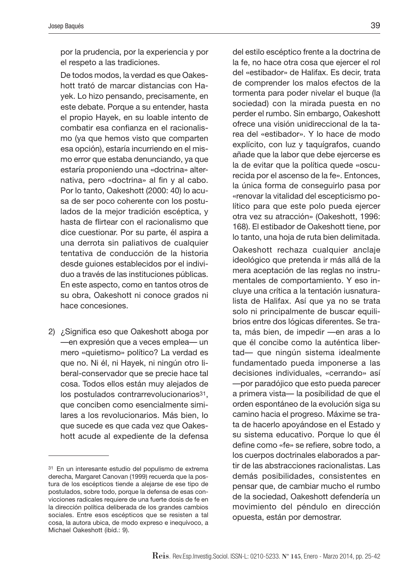por la prudencia, por la experiencia y por el respeto a las tradiciones.

 De todos modos, la verdad es que Oakeshott trató de marcar distancias con Hayek. Lo hizo pensando, precisamente, en este debate. Porque a su entender, hasta el propio Hayek, en su loable intento de combatir esa confianza en el racionalismo (ya que hemos visto que comparten esa opción), estaría incurriendo en el mismo error que estaba denunciando, ya que estaría proponiendo una «doctrina» alternativa, pero «doctrina» al fin y al cabo. Por lo tanto, Oakeshott (2000: 40) lo acusa de ser poco coherente con los postulados de la mejor tradición escéptica, y hasta de flirtear con el racionalismo que dice cuestionar. Por su parte, él aspira a una derrota sin paliativos de cualquier tentativa de conducción de la historia desde guiones establecidos por el individuo a través de las instituciones públicas. En este aspecto, como en tantos otros de su obra, Oakeshott ni conoce grados ni hace concesiones.

2) ¿Significa eso que Oakeshott aboga por —en expresión que a veces emplea— un mero «quietismo» político? La verdad es que no. Ni él, ni Hayek, ni ningún otro liberal-conservador que se precie hace tal cosa. Todos ellos están muy alejados de los postulados contrarrevolucionarios<sup>31</sup>, que conciben como esencialmente similares a los revolucionarios. Más bien, lo que sucede es que cada vez que Oakeshott acude al expediente de la defensa

del estilo escéptico frente a la doctrina de la fe, no hace otra cosa que ejercer el rol del «estibador» de Halifax. Es decir, trata de comprender los malos efectos de la tormenta para poder nivelar el buque (la sociedad) con la mirada puesta en no perder el rumbo. Sin embargo, Oakeshott ofrece una visión unidireccional de la tarea del «estibador». Y lo hace de modo explícito, con luz y taquígrafos, cuando añade que la labor que debe ejercerse es la de evitar que la política quede «oscurecida por el ascenso de la fe». Entonces, la única forma de conseguirlo pasa por «renovar la vitalidad del escepticismo político para que este polo pueda ejercer otra vez su atracción» (Oakeshott, 1996: 168). El estibador de Oakeshott tiene, por lo tanto, una hoja de ruta bien delimitada.

 Oakeshott rechaza cualquier anclaje ideológico que pretenda ir más allá de la mera aceptación de las reglas no instrumentales de comportamiento. Y eso incluye una crítica a la tentación iusnaturalista de Halifax. Así que ya no se trata solo ni principalmente de buscar equilibrios entre dos lógicas diferentes. Se trata, más bien, de impedir —en aras a lo que él concibe como la auténtica libertad— que ningún sistema idealmente fundamentado pueda imponerse a las decisiones individuales, «cerrando» así —por paradójico que esto pueda parecer a primera vista— la posibilidad de que el orden espontáneo de la evolución siga su camino hacia el progreso. Máxime se trata de hacerlo apoyándose en el Estado y su sistema educativo. Porque lo que él define como «fe» se refiere, sobre todo, a los cuerpos doctrinales elaborados a partir de las abstracciones racionalistas. Las demás posibilidades, consistentes en pensar que, de cambiar mucho el rumbo de la sociedad, Oakeshott defendería un movimiento del péndulo en dirección opuesta, están por demostrar.

<sup>31</sup> En un interesante estudio del populismo de extrema derecha, Margaret Canovan (1999) recuerda que la postura de los escépticos tiende a alejarse de ese tipo de postulados, sobre todo, porque la defensa de esas convicciones radicales requiere de una fuerte dosis de fe en la dirección política deliberada de los grandes cambios sociales. Entre esos escépticos que se resisten a tal cosa, la autora ubica, de modo expreso e inequívoco, a Michael Oakeshott (ibíd.: 9).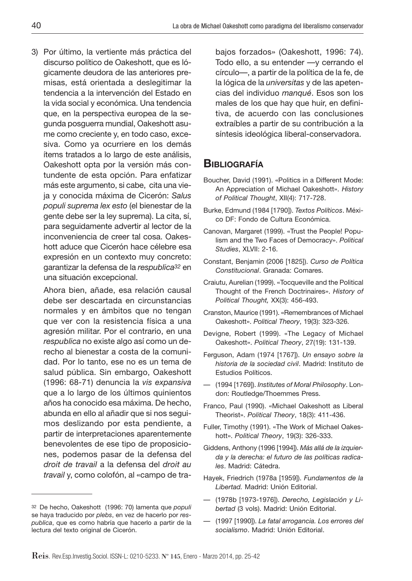3) Por último, la vertiente más práctica del discurso político de Oakeshott, que es lógicamente deudora de las anteriores premisas, está orientada a deslegitimar la tendencia a la intervención del Estado en la vida social y económica. Una tendencia que, en la perspectiva europea de la segunda posguerra mundial, Oakeshott asume como creciente y, en todo caso, excesiva. Como ya ocurriere en los demás ítems tratados a lo largo de este análisis, Oakeshott opta por la versión más contundente de esta opción. Para enfatizar más este argumento, si cabe, cita una vieja y conocida máxima de Cicerón: *Salus populi suprema lex esto* (el bienestar de la gente debe ser la ley suprema). La cita, sí, para seguidamente advertir al lector de la inconveniencia de creer tal cosa. Oakeshott aduce que Cicerón hace célebre esa expresión en un contexto muy concreto: garantizar la defensa de la *respublica32* en una situación excepcional.

 Ahora bien, añade, esa relación causal debe ser descartada en circunstancias normales y en ámbitos que no tengan que ver con la resistencia física a una agresión militar. Por el contrario, en una *respublica* no existe algo así como un derecho al bienestar a costa de la comunidad. Por lo tanto, ese no es un tema de salud pública. Sin embargo, Oakeshott (1996: 68-71) denuncia la *vis expansiva* que a lo largo de los últimos quinientos años ha conocido esa máxima. De hecho, abunda en ello al añadir que si nos seguimos deslizando por esta pendiente, a partir de interpretaciones aparentemente benevolentes de ese tipo de proposiciones, podemos pasar de la defensa del *droit de travail* a la defensa del *droit au travail* y, como colofón, al «campo de trabajos forzados» (Oakeshott, 1996: 74). Todo ello, a su entender —y cerrando el círculo—, a partir de la política de la fe, de la lógica de la *universitas* y de las apetencias del individuo *manqué*. Esos son los males de los que hay que huir, en definitiva, de acuerdo con las conclusiones extraíbles a partir de su contribución a la síntesis ideológica liberal-conservadora.

# **BIBLIOGRAFÍA**

- Boucher, David (1991). «Politics in a Different Mode: An Appreciation of Michael Oakeshott». *History of Political Thought*, XII(4): 717-728.
- Burke, Edmund (1984 [1790]). *Textos Políticos*. México DF: Fondo de Cultura Económica.
- Canovan, Margaret (1999). «Trust the People! Populism and the Two Faces of Democracy». *Political Studies*, XLVII: 2-16.
- Constant, Benjamin (2006 [1825]). *Curso de Política Constitucional*. Granada: Comares.
- Craiutu, Aurelian (1999). «Tocqueville and the Political Thought of the French Doctrinaires». *History of Political Thought,* XX(3): 456-493.
- Cranston, Maurice (1991). «Remembrances of Michael Oakeshott». *Political Theory*, 19(3): 323-326.
- Devigne, Robert (1999). «The Legacy of Michael Oakeshott». *Political Theory*, 27(19): 131-139.
- Ferguson, Adam (1974 [1767]). *Un ensayo sobre la historia de la sociedad civil*. Madrid: Instituto de Estudios Políticos.
- (1994 [1769]). *Institutes of Moral Philosophy*. London: Routledge/Thoemmes Press.
- Franco, Paul (1990). «Michael Oakeshott as Liberal Theorist». *Political Theory*, 18(3): 411-436.
- Fuller, Timothy (1991). «The Work of Michael Oakeshott». *Political Theory*, 19(3): 326-333.
- Giddens, Anthony (1996 [1994]). *Más allá de la izquierda y la derecha: el futuro de las políticas radicales*. Madrid: Cátedra.
- Hayek, Friedrich (1978a [1959]). *Fundamentos de la Libertad.* Madrid: Unión Editorial.
- (1978b [1973-1976]). *Derecho, Legislación y Libertad* (3 vols). Madrid: Unión Editorial.
- (1997 [1990]). *La fatal arrogancia. Los errores del socialismo*. Madrid: Unión Editorial.

<sup>32</sup> De hecho, Oakeshott (1996: 70) lamenta que *populi* se haya traducido por *plebs*, en vez de hacerlo por *respublica*, que es como habría que hacerlo a partir de la lectura del texto original de Cicerón.